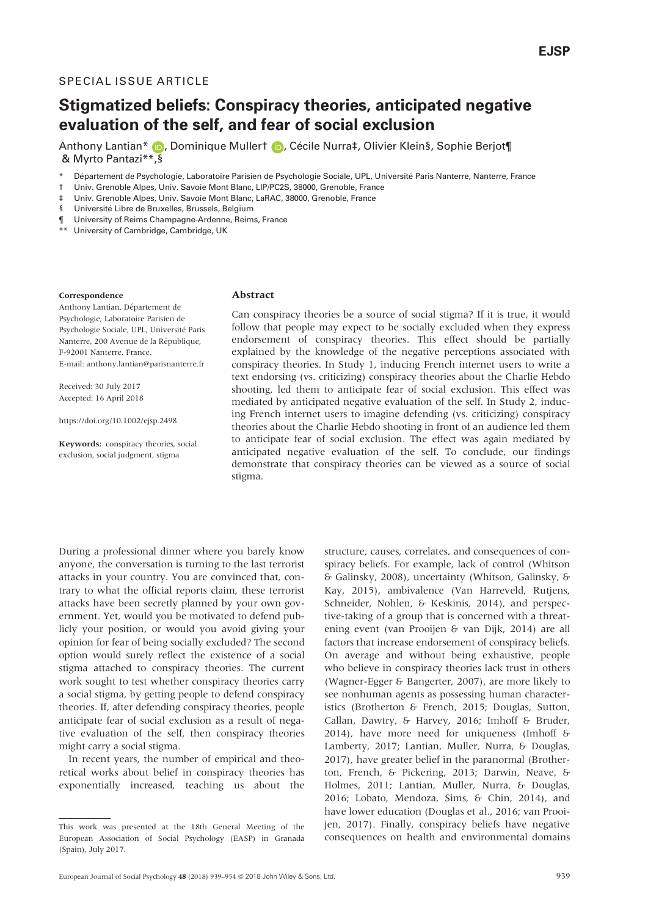# SPECIAL ISSUE ARTICLE

# Stigmatized beliefs: Conspiracy theories, anticipated negative evaluation of the self, and fear of social exclusion

Anthony Lantian[\\*](http://orcid.org/0000-0001-7855-3914) **D**, Dominique Mullert **D**, Cécile Nurra‡, Olivier Klein§, Sophie Berjot¶ & Myrto Pantazi\*\*,§

- Département de Psychologie, Laboratoire Parisien de Psychologie Sociale, UPL, Université Paris Nanterre, Nanterre, France
- † Univ. Grenoble Alpes, Univ. Savoie Mont Blanc, LIP/PC2S, 38000, Grenoble, France
- ‡ Univ. Grenoble Alpes, Univ. Savoie Mont Blanc, LaRAC, 38000, Grenoble, France
- § Université Libre de Bruxelles, Brussels, Belgium
- ¶ University of Reims Champagne-Ardenne, Reims, France
- \*\* University of Cambridge, Cambridge, UK

#### Correspondence

Anthony Lantian, Département de Psychologie, Laboratoire Parisien de Psychologie Sociale, UPL, Universite Paris Nanterre, 200 Avenue de la Republique, F-92001 Nanterre, France. E-mail: anthony.lantian@parisnanterre.fr

Received: 30 July 2017 Accepted: 16 April 2018

<https://doi.org/10.1002/ejsp.2498>

Keywords: conspiracy theories, social exclusion, social judgment, stigma

# Abstract

Can conspiracy theories be a source of social stigma? If it is true, it would follow that people may expect to be socially excluded when they express endorsement of conspiracy theories. This effect should be partially explained by the knowledge of the negative perceptions associated with conspiracy theories. In Study 1, inducing French internet users to write a text endorsing (vs. criticizing) conspiracy theories about the Charlie Hebdo shooting, led them to anticipate fear of social exclusion. This effect was mediated by anticipated negative evaluation of the self. In Study 2, inducing French internet users to imagine defending (vs. criticizing) conspiracy theories about the Charlie Hebdo shooting in front of an audience led them to anticipate fear of social exclusion. The effect was again mediated by anticipated negative evaluation of the self. To conclude, our findings demonstrate that conspiracy theories can be viewed as a source of social stigma.

During a professional dinner where you barely know anyone, the conversation is turning to the last terrorist attacks in your country. You are convinced that, contrary to what the official reports claim, these terrorist attacks have been secretly planned by your own government. Yet, would you be motivated to defend publicly your position, or would you avoid giving your opinion for fear of being socially excluded? The second option would surely reflect the existence of a social stigma attached to conspiracy theories. The current work sought to test whether conspiracy theories carry a social stigma, by getting people to defend conspiracy theories. If, after defending conspiracy theories, people anticipate fear of social exclusion as a result of negative evaluation of the self, then conspiracy theories might carry a social stigma.

In recent years, the number of empirical and theoretical works about belief in conspiracy theories has exponentially increased, teaching us about the

structure, causes, correlates, and consequences of conspiracy beliefs. For example, lack of control (Whitson & Galinsky, 2008), uncertainty (Whitson, Galinsky, & Kay, 2015), ambivalence (Van Harreveld, Rutjens, Schneider, Nohlen, & Keskinis, 2014), and perspective-taking of a group that is concerned with a threatening event (van Prooijen & van Dijk, 2014) are all factors that increase endorsement of conspiracy beliefs. On average and without being exhaustive, people who believe in conspiracy theories lack trust in others (Wagner-Egger & Bangerter, 2007), are more likely to see nonhuman agents as possessing human characteristics (Brotherton & French, 2015; Douglas, Sutton, Callan, Dawtry, & Harvey, 2016; Imhoff & Bruder, 2014), have more need for uniqueness (Imhoff & Lamberty, 2017; Lantian, Muller, Nurra, & Douglas, 2017), have greater belief in the paranormal (Brotherton, French, & Pickering, 2013; Darwin, Neave, & Holmes, 2011; Lantian, Muller, Nurra, & Douglas, 2016; Lobato, Mendoza, Sims, & Chin, 2014), and have lower education (Douglas et al., 2016; van Prooijen, 2017). Finally, conspiracy beliefs have negative consequences on health and environmental domains

This work was presented at the 18th General Meeting of the European Association of Social Psychology (EASP) in Granada (Spain), July 2017.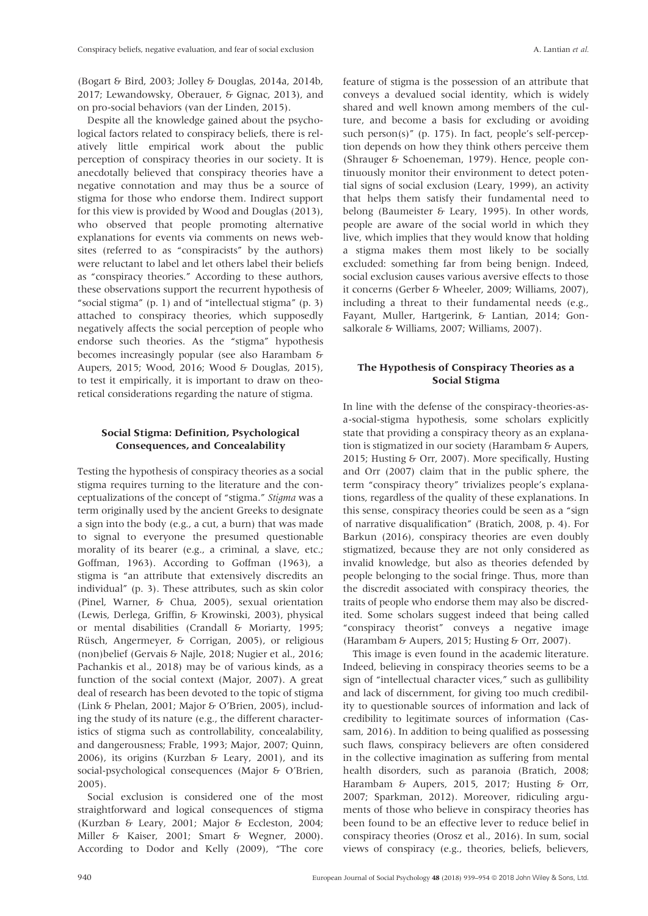(Bogart & Bird, 2003; Jolley & Douglas, 2014a, 2014b, 2017; Lewandowsky, Oberauer, & Gignac, 2013), and on pro-social behaviors (van der Linden, 2015).

Despite all the knowledge gained about the psychological factors related to conspiracy beliefs, there is relatively little empirical work about the public perception of conspiracy theories in our society. It is anecdotally believed that conspiracy theories have a negative connotation and may thus be a source of stigma for those who endorse them. Indirect support for this view is provided by Wood and Douglas (2013), who observed that people promoting alternative explanations for events via comments on news websites (referred to as "conspiracists" by the authors) were reluctant to label and let others label their beliefs as "conspiracy theories." According to these authors, these observations support the recurrent hypothesis of "social stigma" (p. 1) and of "intellectual stigma" (p. 3) attached to conspiracy theories, which supposedly negatively affects the social perception of people who endorse such theories. As the "stigma" hypothesis becomes increasingly popular (see also Harambam & Aupers, 2015; Wood, 2016; Wood & Douglas, 2015), to test it empirically, it is important to draw on theoretical considerations regarding the nature of stigma.

# Social Stigma: Definition, Psychological Consequences, and Concealability

Testing the hypothesis of conspiracy theories as a social stigma requires turning to the literature and the conceptualizations of the concept of "stigma." Stigma was a term originally used by the ancient Greeks to designate a sign into the body (e.g., a cut, a burn) that was made to signal to everyone the presumed questionable morality of its bearer (e.g., a criminal, a slave, etc.; Goffman, 1963). According to Goffman (1963), a stigma is "an attribute that extensively discredits an individual" (p. 3). These attributes, such as skin color (Pinel, Warner, & Chua, 2005), sexual orientation (Lewis, Derlega, Griffin, & Krowinski, 2003), physical or mental disabilities (Crandall & Moriarty, 1995; Rüsch, Angermeyer, & Corrigan, 2005), or religious (non)belief (Gervais & Najle, 2018; Nugier et al., 2016; Pachankis et al., 2018) may be of various kinds, as a function of the social context (Major, 2007). A great deal of research has been devoted to the topic of stigma (Link & Phelan, 2001; Major & O'Brien, 2005), including the study of its nature (e.g., the different characteristics of stigma such as controllability, concealability, and dangerousness; Frable, 1993; Major, 2007; Quinn, 2006), its origins (Kurzban & Leary, 2001), and its social-psychological consequences (Major & O'Brien, 2005).

Social exclusion is considered one of the most straightforward and logical consequences of stigma (Kurzban & Leary, 2001; Major & Eccleston, 2004; Miller & Kaiser, 2001; Smart & Wegner, 2000). According to Dodor and Kelly (2009), "The core

feature of stigma is the possession of an attribute that conveys a devalued social identity, which is widely shared and well known among members of the culture, and become a basis for excluding or avoiding such person(s)" (p. 175). In fact, people's self-perception depends on how they think others perceive them (Shrauger & Schoeneman, 1979). Hence, people continuously monitor their environment to detect potential signs of social exclusion (Leary, 1999), an activity that helps them satisfy their fundamental need to belong (Baumeister & Leary, 1995). In other words, people are aware of the social world in which they live, which implies that they would know that holding a stigma makes them most likely to be socially excluded: something far from being benign. Indeed, social exclusion causes various aversive effects to those it concerns (Gerber & Wheeler, 2009; Williams, 2007), including a threat to their fundamental needs (e.g., Fayant, Muller, Hartgerink, & Lantian, 2014; Gonsalkorale & Williams, 2007; Williams, 2007).

# The Hypothesis of Conspiracy Theories as a Social Stigma

In line with the defense of the conspiracy-theories-asa-social-stigma hypothesis, some scholars explicitly state that providing a conspiracy theory as an explanation is stigmatized in our society (Harambam & Aupers, 2015; Husting & Orr, 2007). More specifically, Husting and Orr (2007) claim that in the public sphere, the term "conspiracy theory" trivializes people's explanations, regardless of the quality of these explanations. In this sense, conspiracy theories could be seen as a "sign of narrative disqualification" (Bratich, 2008, p. 4). For Barkun (2016), conspiracy theories are even doubly stigmatized, because they are not only considered as invalid knowledge, but also as theories defended by people belonging to the social fringe. Thus, more than the discredit associated with conspiracy theories, the traits of people who endorse them may also be discredited. Some scholars suggest indeed that being called "conspiracy theorist" conveys a negative image (Harambam & Aupers, 2015; Husting & Orr, 2007).

This image is even found in the academic literature. Indeed, believing in conspiracy theories seems to be a sign of "intellectual character vices," such as gullibility and lack of discernment, for giving too much credibility to questionable sources of information and lack of credibility to legitimate sources of information (Cassam, 2016). In addition to being qualified as possessing such flaws, conspiracy believers are often considered in the collective imagination as suffering from mental health disorders, such as paranoia (Bratich, 2008; Harambam & Aupers, 2015, 2017; Husting & Orr, 2007; Sparkman, 2012). Moreover, ridiculing arguments of those who believe in conspiracy theories has been found to be an effective lever to reduce belief in conspiracy theories (Orosz et al., 2016). In sum, social views of conspiracy (e.g., theories, beliefs, believers,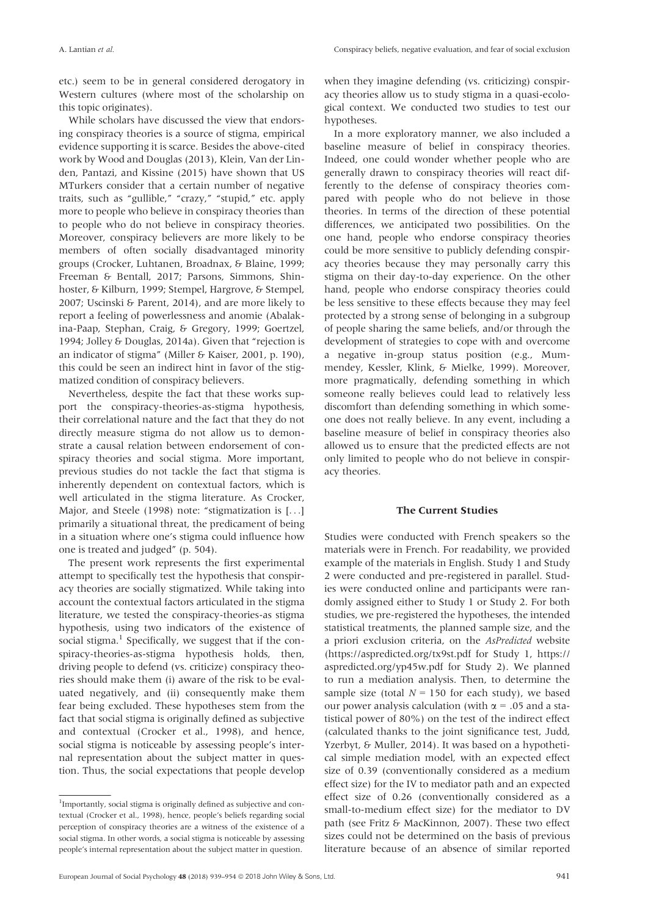etc.) seem to be in general considered derogatory in Western cultures (where most of the scholarship on this topic originates).

While scholars have discussed the view that endorsing conspiracy theories is a source of stigma, empirical evidence supporting it is scarce. Besides the above-cited work by Wood and Douglas (2013), Klein, Van der Linden, Pantazi, and Kissine (2015) have shown that US MTurkers consider that a certain number of negative traits, such as "gullible," "crazy," "stupid," etc. apply more to people who believe in conspiracy theories than to people who do not believe in conspiracy theories. Moreover, conspiracy believers are more likely to be members of often socially disadvantaged minority groups (Crocker, Luhtanen, Broadnax, & Blaine, 1999; Freeman & Bentall, 2017; Parsons, Simmons, Shinhoster, & Kilburn, 1999; Stempel, Hargrove, & Stempel, 2007; Uscinski & Parent, 2014), and are more likely to report a feeling of powerlessness and anomie (Abalakina-Paap, Stephan, Craig, & Gregory, 1999; Goertzel, 1994; Jolley & Douglas, 2014a). Given that "rejection is an indicator of stigma" (Miller & Kaiser, 2001, p. 190), this could be seen an indirect hint in favor of the stigmatized condition of conspiracy believers.

Nevertheless, despite the fact that these works support the conspiracy-theories-as-stigma hypothesis, their correlational nature and the fact that they do not directly measure stigma do not allow us to demonstrate a causal relation between endorsement of conspiracy theories and social stigma. More important, previous studies do not tackle the fact that stigma is inherently dependent on contextual factors, which is well articulated in the stigma literature. As Crocker, Major, and Steele (1998) note: "stigmatization is [...] primarily a situational threat, the predicament of being in a situation where one's stigma could influence how one is treated and judged" (p. 504).

The present work represents the first experimental attempt to specifically test the hypothesis that conspiracy theories are socially stigmatized. While taking into account the contextual factors articulated in the stigma literature, we tested the conspiracy-theories-as stigma hypothesis, using two indicators of the existence of social stigma.<sup>1</sup> Specifically, we suggest that if the conspiracy-theories-as-stigma hypothesis holds, then, driving people to defend (vs. criticize) conspiracy theories should make them (i) aware of the risk to be evaluated negatively, and (ii) consequently make them fear being excluded. These hypotheses stem from the fact that social stigma is originally defined as subjective and contextual (Crocker et al., 1998), and hence, social stigma is noticeable by assessing people's internal representation about the subject matter in question. Thus, the social expectations that people develop when they imagine defending (vs. criticizing) conspiracy theories allow us to study stigma in a quasi-ecological context. We conducted two studies to test our hypotheses.

In a more exploratory manner, we also included a baseline measure of belief in conspiracy theories. Indeed, one could wonder whether people who are generally drawn to conspiracy theories will react differently to the defense of conspiracy theories compared with people who do not believe in those theories. In terms of the direction of these potential differences, we anticipated two possibilities. On the one hand, people who endorse conspiracy theories could be more sensitive to publicly defending conspiracy theories because they may personally carry this stigma on their day-to-day experience. On the other hand, people who endorse conspiracy theories could be less sensitive to these effects because they may feel protected by a strong sense of belonging in a subgroup of people sharing the same beliefs, and/or through the development of strategies to cope with and overcome a negative in-group status position (e.g., Mummendey, Kessler, Klink, & Mielke, 1999). Moreover, more pragmatically, defending something in which someone really believes could lead to relatively less discomfort than defending something in which someone does not really believe. In any event, including a baseline measure of belief in conspiracy theories also allowed us to ensure that the predicted effects are not only limited to people who do not believe in conspiracy theories.

# The Current Studies

Studies were conducted with French speakers so the materials were in French. For readability, we provided example of the materials in English. Study 1 and Study 2 were conducted and pre-registered in parallel. Studies were conducted online and participants were randomly assigned either to Study 1 or Study 2. For both studies, we pre-registered the hypotheses, the intended statistical treatments, the planned sample size, and the a priori exclusion criteria, on the AsPredicted website (<https://aspredicted.org/tx9st.pdf> for Study 1, [https://](https://aspredicted.org/yp45w.pdf) [aspredicted.org/yp45w.pdf](https://aspredicted.org/yp45w.pdf) for Study 2). We planned to run a mediation analysis. Then, to determine the sample size (total  $N = 150$  for each study), we based our power analysis calculation (with  $\alpha$  = .05 and a statistical power of 80%) on the test of the indirect effect (calculated thanks to the joint significance test, Judd, Yzerbyt, & Muller, 2014). It was based on a hypothetical simple mediation model, with an expected effect size of 0.39 (conventionally considered as a medium effect size) for the IV to mediator path and an expected effect size of 0.26 (conventionally considered as a small-to-medium effect size) for the mediator to DV path (see Fritz & MacKinnon, 2007). These two effect sizes could not be determined on the basis of previous literature because of an absence of similar reported

<sup>&</sup>lt;sup>1</sup>Importantly, social stigma is originally defined as subjective and contextual (Crocker et al., 1998), hence, people's beliefs regarding social perception of conspiracy theories are a witness of the existence of a social stigma. In other words, a social stigma is noticeable by assessing people's internal representation about the subject matter in question.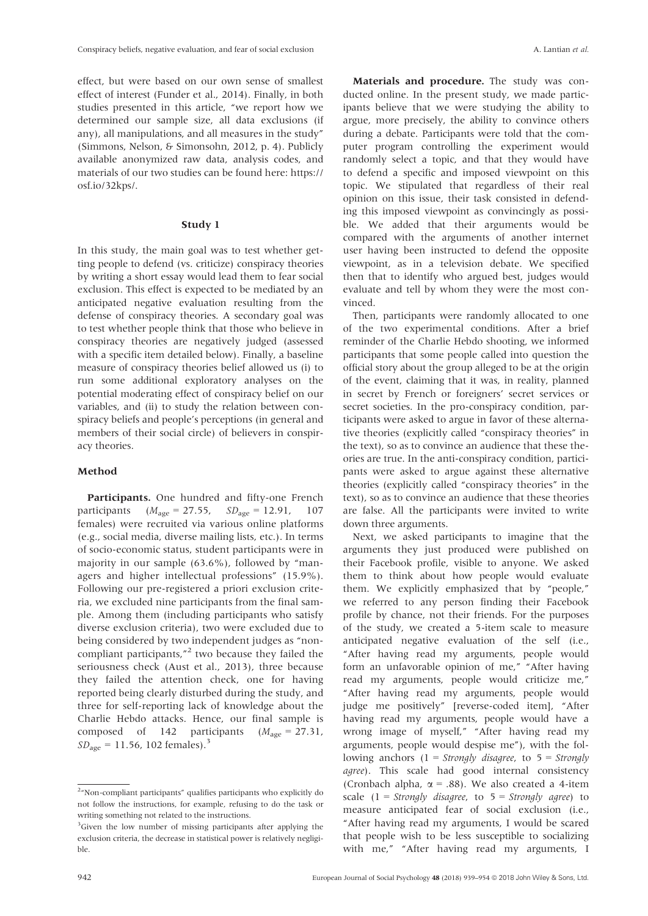effect, but were based on our own sense of smallest effect of interest (Funder et al., 2014). Finally, in both studies presented in this article, "we report how we determined our sample size, all data exclusions (if any), all manipulations, and all measures in the study" (Simmons, Nelson, & Simonsohn, 2012, p. 4). Publicly available anonymized raw data, analysis codes, and materials of our two studies can be found here: [https://](https://osf.io/32kps/) [osf.io/32kps/](https://osf.io/32kps/).

# Study 1

In this study, the main goal was to test whether getting people to defend (vs. criticize) conspiracy theories by writing a short essay would lead them to fear social exclusion. This effect is expected to be mediated by an anticipated negative evaluation resulting from the defense of conspiracy theories. A secondary goal was to test whether people think that those who believe in conspiracy theories are negatively judged (assessed with a specific item detailed below). Finally, a baseline measure of conspiracy theories belief allowed us (i) to run some additional exploratory analyses on the potential moderating effect of conspiracy belief on our variables, and (ii) to study the relation between conspiracy beliefs and people's perceptions (in general and members of their social circle) of believers in conspiracy theories.

## Method

Participants. One hundred and fifty-one French participants  $(M_{\text{age}} = 27.55, \quad SD_{\text{age}} = 12.91, \quad 107$ females) were recruited via various online platforms (e.g., social media, diverse mailing lists, etc.). In terms of socio-economic status, student participants were in majority in our sample (63.6%), followed by "managers and higher intellectual professions" (15.9%). Following our pre-registered a priori exclusion criteria, we excluded nine participants from the final sample. Among them (including participants who satisfy diverse exclusion criteria), two were excluded due to being considered by two independent judges as "noncompliant participants,"<sup>2</sup> two because they failed the seriousness check (Aust et al., 2013), three because they failed the attention check, one for having reported being clearly disturbed during the study, and three for self-reporting lack of knowledge about the Charlie Hebdo attacks. Hence, our final sample is composed of 142 participants  $(M<sub>age</sub> = 27.31)$ ,  $SD<sub>age</sub> = 11.56, 102 females).$ <sup>3</sup>

Materials and procedure. The study was conducted online. In the present study, we made participants believe that we were studying the ability to argue, more precisely, the ability to convince others during a debate. Participants were told that the computer program controlling the experiment would randomly select a topic, and that they would have to defend a specific and imposed viewpoint on this topic. We stipulated that regardless of their real opinion on this issue, their task consisted in defending this imposed viewpoint as convincingly as possible. We added that their arguments would be compared with the arguments of another internet user having been instructed to defend the opposite viewpoint, as in a television debate. We specified then that to identify who argued best, judges would evaluate and tell by whom they were the most convinced.

Then, participants were randomly allocated to one of the two experimental conditions. After a brief reminder of the Charlie Hebdo shooting, we informed participants that some people called into question the official story about the group alleged to be at the origin of the event, claiming that it was, in reality, planned in secret by French or foreigners' secret services or secret societies. In the pro-conspiracy condition, participants were asked to argue in favor of these alternative theories (explicitly called "conspiracy theories" in the text), so as to convince an audience that these theories are true. In the anti-conspiracy condition, participants were asked to argue against these alternative theories (explicitly called "conspiracy theories" in the text), so as to convince an audience that these theories are false. All the participants were invited to write down three arguments.

Next, we asked participants to imagine that the arguments they just produced were published on their Facebook profile, visible to anyone. We asked them to think about how people would evaluate them. We explicitly emphasized that by "people," we referred to any person finding their Facebook profile by chance, not their friends. For the purposes of the study, we created a 5-item scale to measure anticipated negative evaluation of the self (i.e., "After having read my arguments, people would form an unfavorable opinion of me," "After having read my arguments, people would criticize me," "After having read my arguments, people would judge me positively" [reverse-coded item], "After having read my arguments, people would have a wrong image of myself," "After having read my arguments, people would despise me"), with the following anchors  $(1 = \text{Strongly}$  disagree, to  $5 = \text{Strongly}$ agree). This scale had good internal consistency (Cronbach alpha,  $\alpha$  = .88). We also created a 4-item scale  $(1 = \text{Strongly disagree}, to 5 = \text{Strongly agree})$  to measure anticipated fear of social exclusion (i.e., "After having read my arguments, I would be scared that people wish to be less susceptible to socializing with me," "After having read my arguments, I

<sup>&</sup>lt;sup>2</sup>"Non-compliant participants" qualifies participants who explicitly do not follow the instructions, for example, refusing to do the task or writing something not related to the instructions.

<sup>&</sup>lt;sup>3</sup>Given the low number of missing participants after applying the exclusion criteria, the decrease in statistical power is relatively negligible.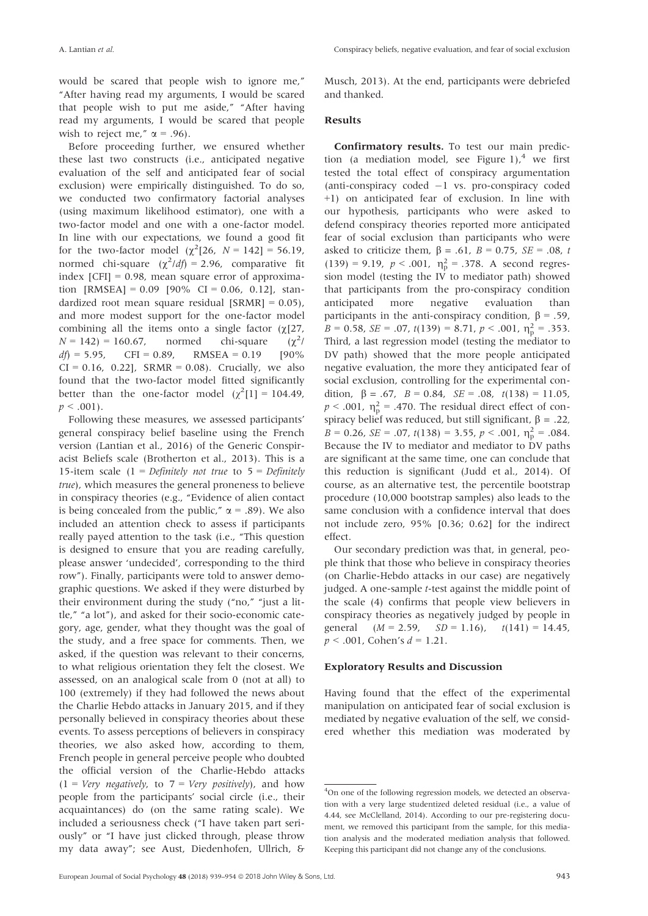would be scared that people wish to ignore me," "After having read my arguments, I would be scared that people wish to put me aside," "After having read my arguments, I would be scared that people wish to reject me,"  $\alpha$  = .96).

Before proceeding further, we ensured whether these last two constructs (i.e., anticipated negative evaluation of the self and anticipated fear of social exclusion) were empirically distinguished. To do so, we conducted two confirmatory factorial analyses (using maximum likelihood estimator), one with a two-factor model and one with a one-factor model. In line with our expectations, we found a good fit for the two-factor model  $(\chi^2[26, N = 142] = 56.19,$ <br>normed chi square  $(\chi^2[46] = 2.96$  comparative fit normed chi-square  $(\chi^2/df) = 2.96$ , comparative fit<br>index [CEII = 0.98, mean square error of approxima] index [CFI] = 0.98, mean square error of approximation  $[RMSEA] = 0.09$   $[90\% \text{ CI} = 0.06, 0.12]$ , standardized root mean square residual  $[SRMR] = 0.05$ ), and more modest support for the one-factor model combining all the items onto a single factor ( $\chi$ [27, N = 142) = 160.67, normed chi-square ( $\chi^2$ /  $N = 142$ ) = 160.67, normed chi-square  $(\chi^2/df)$  = 5.95, CFI = 0.89, RMSEA = 0.19 [90%  $(\chi^2)$  $df$  = 5.95, CFI = 0.89,  $CI = 0.16, 0.22$ ,  $SRMR = 0.08$ . Crucially, we also found that the two-factor model fitted significantly better than the one-factor model  $(\chi^2[1] = 104.49)$ ,  $p < .001$ ).

Following these measures, we assessed participants' general conspiracy belief baseline using the French version (Lantian et al., 2016) of the Generic Conspiracist Beliefs scale (Brotherton et al., 2013). This is a 15-item scale  $(1 = Definitely not true to 5 = Definitely)$ true), which measures the general proneness to believe in conspiracy theories (e.g., "Evidence of alien contact is being concealed from the public,"  $\alpha$  = .89). We also included an attention check to assess if participants really payed attention to the task (i.e., "This question is designed to ensure that you are reading carefully, please answer 'undecided', corresponding to the third row"). Finally, participants were told to answer demographic questions. We asked if they were disturbed by their environment during the study ("no," "just a little," "a lot"), and asked for their socio-economic category, age, gender, what they thought was the goal of the study, and a free space for comments. Then, we asked, if the question was relevant to their concerns, to what religious orientation they felt the closest. We assessed, on an analogical scale from 0 (not at all) to 100 (extremely) if they had followed the news about the Charlie Hebdo attacks in January 2015, and if they personally believed in conspiracy theories about these events. To assess perceptions of believers in conspiracy theories, we also asked how, according to them, French people in general perceive people who doubted the official version of the Charlie-Hebdo attacks  $(1 = V$ ery negatively, to  $7 = V$ ery positively), and how people from the participants' social circle (i.e., their acquaintances) do (on the same rating scale). We included a seriousness check ("I have taken part seriously" or "I have just clicked through, please throw my data away"; see Aust, Diedenhofen, Ullrich, &

Musch, 2013). At the end, participants were debriefed and thanked.

### Results

Confirmatory results. To test our main prediction (a mediation model, see Figure 1), $4$  we first tested the total effect of conspiracy argumentation (anti-conspiracy coded  $-1$  vs. pro-conspiracy coded +1) on anticipated fear of exclusion. In line with our hypothesis, participants who were asked to defend conspiracy theories reported more anticipated fear of social exclusion than participants who were asked to criticize them,  $\beta = .61$ ,  $B = 0.75$ ,  $SE = .08$ , t  $(139) = 9.19$ ,  $p < .001$ ,  $\eta_p^2 = .378$ . A second regres-<br>sion model (testing the W<sub>1</sub> to mediator path) showed sion model (testing the IV to mediator path) showed that participants from the pro-conspiracy condition anticipated more negative evaluation than participants in the anti-conspiracy condition,  $\beta = .59$ ,  $B = 0.58$ ,  $SE = .07$ ,  $t(139) = 8.71$ ,  $p < .001$ ,  $\eta_p^2 = .353$ .<br>Third a last regression model (testing the mediator to Third, a last regression model (testing the mediator to DV path) showed that the more people anticipated negative evaluation, the more they anticipated fear of social exclusion, controlling for the experimental condition,  $\beta = .67$ ,  $B = 0.84$ ,  $SE = .08$ ,  $t(138) = 11.05$ ,  $p < .001$ ,  $\eta_p^2 = .470$ . The residual direct effect of con-<br>entracy belief was reduced but still significant  $\beta = .22$ . spiracy belief was reduced, but still significant,  $\beta = .22$ ,  $B = 0.26$ ,  $SE = .07$ ,  $t(138) = 3.55$ ,  $p < .001$ ,  $\eta_p^2 = .084$ .<br>Because the IV to mediator and mediator to DV paths Because the IV to mediator and mediator to DV paths are significant at the same time, one can conclude that this reduction is significant (Judd et al., 2014). Of course, as an alternative test, the percentile bootstrap procedure (10,000 bootstrap samples) also leads to the same conclusion with a confidence interval that does not include zero, 95% [0.36; 0.62] for the indirect effect.

Our secondary prediction was that, in general, people think that those who believe in conspiracy theories (on Charlie-Hebdo attacks in our case) are negatively judged. A one-sample *t*-test against the middle point of the scale (4) confirms that people view believers in conspiracy theories as negatively judged by people in general  $(M = 2.59, SD = 1.16), t(141) = 14.45,$  $p < .001$ , Cohen's  $d = 1.21$ .

#### Exploratory Results and Discussion

Having found that the effect of the experimental manipulation on anticipated fear of social exclusion is mediated by negative evaluation of the self, we considered whether this mediation was moderated by

<sup>4</sup> On one of the following regression models, we detected an observation with a very large studentized deleted residual (i.e., a value of 4.44, see McClelland, 2014). According to our pre-registering document, we removed this participant from the sample, for this mediation analysis and the moderated mediation analysis that followed. Keeping this participant did not change any of the conclusions.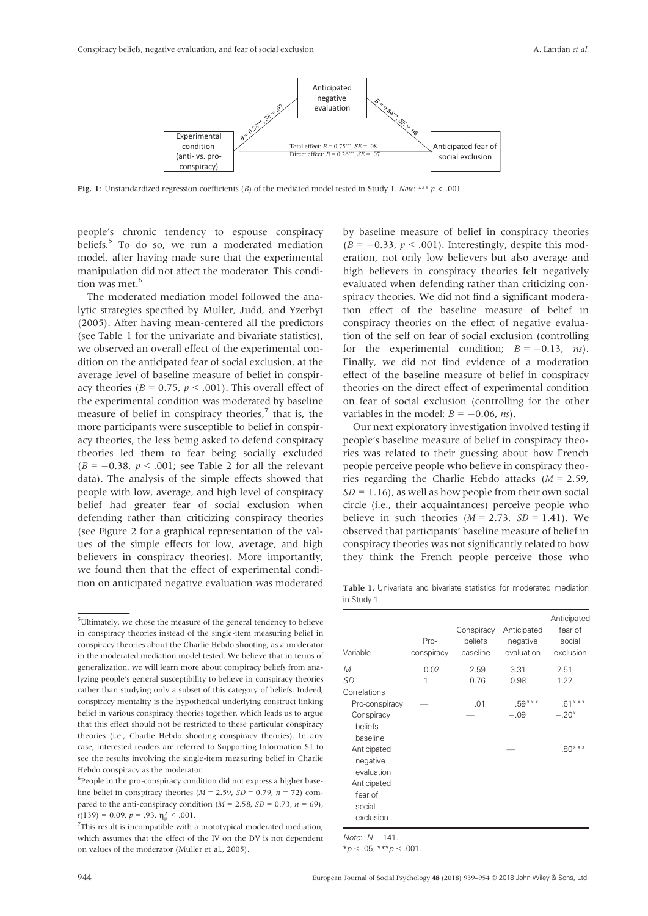

Fig. 1: Unstandardized regression coefficients (B) of the mediated model tested in Study 1. Note: \*\*\*  $p < .001$ 

people's chronic tendency to espouse conspiracy beliefs. $5$  To do so, we run a moderated mediation model, after having made sure that the experimental manipulation did not affect the moderator. This condition was met.<sup>6</sup>

The moderated mediation model followed the analytic strategies specified by Muller, Judd, and Yzerbyt (2005). After having mean-centered all the predictors (see Table 1 for the univariate and bivariate statistics), we observed an overall effect of the experimental condition on the anticipated fear of social exclusion, at the average level of baseline measure of belief in conspiracy theories ( $B = 0.75$ ,  $p < .001$ ). This overall effect of the experimental condition was moderated by baseline measure of belief in conspiracy theories,<sup>7</sup> that is, the more participants were susceptible to belief in conspiracy theories, the less being asked to defend conspiracy theories led them to fear being socially excluded  $(B = -0.38, p < .001$ ; see Table 2 for all the relevant data). The analysis of the simple effects showed that people with low, average, and high level of conspiracy belief had greater fear of social exclusion when defending rather than criticizing conspiracy theories (see Figure 2 for a graphical representation of the values of the simple effects for low, average, and high believers in conspiracy theories). More importantly, we found then that the effect of experimental condition on anticipated negative evaluation was moderated by baseline measure of belief in conspiracy theories  $(B = -0.33, p < .001)$ . Interestingly, despite this moderation, not only low believers but also average and high believers in conspiracy theories felt negatively evaluated when defending rather than criticizing conspiracy theories. We did not find a significant moderation effect of the baseline measure of belief in conspiracy theories on the effect of negative evaluation of the self on fear of social exclusion (controlling for the experimental condition;  $B = -0.13$ ,  $ns$ ). Finally, we did not find evidence of a moderation effect of the baseline measure of belief in conspiracy theories on the direct effect of experimental condition on fear of social exclusion (controlling for the other variables in the model;  $B = -0.06$ , *ns*).

Our next exploratory investigation involved testing if people's baseline measure of belief in conspiracy theories was related to their guessing about how French people perceive people who believe in conspiracy theories regarding the Charlie Hebdo attacks ( $M = 2.59$ ,  $SD = 1.16$ , as well as how people from their own social circle (i.e., their acquaintances) perceive people who believe in such theories ( $M = 2.73$ ,  $SD = 1.41$ ). We observed that participants' baseline measure of belief in conspiracy theories was not significantly related to how they think the French people perceive those who

Table 1. Univariate and bivariate statistics for moderated mediation in Study 1

| Variable                                                                                                                                                                        | Pro-<br>conspiracy | Conspiracy<br>beliefs<br>baseline | Anticipated<br>negative<br>evaluation | Anticipated<br>fear of<br>social<br>exclusion   |
|---------------------------------------------------------------------------------------------------------------------------------------------------------------------------------|--------------------|-----------------------------------|---------------------------------------|-------------------------------------------------|
| M<br><b>SD</b><br>Correlations<br>Pro-conspiracy<br>Conspiracy<br>beliefs<br>baseline<br>Anticipated<br>negative<br>evaluation<br>Anticipated<br>fear of<br>social<br>exclusion | 0.02<br>1          | 2.59<br>0.76<br>.01               | 3.31<br>0.98<br>$.59***$<br>$-.09$    | 2.51<br>1.22<br>$.61***$<br>$-.20*$<br>$.80***$ |

Note:  $N = 141$ .

 $np < .05; ***p < .001.$ 

<sup>&</sup>lt;sup>5</sup>Ultimately, we chose the measure of the general tendency to believe in conspiracy theories instead of the single-item measuring belief in conspiracy theories about the Charlie Hebdo shooting, as a moderator in the moderated mediation model tested. We believe that in terms of generalization, we will learn more about conspiracy beliefs from analyzing people's general susceptibility to believe in conspiracy theories rather than studying only a subset of this category of beliefs. Indeed, conspiracy mentality is the hypothetical underlying construct linking belief in various conspiracy theories together, which leads us to argue that this effect should not be restricted to these particular conspiracy theories (i.e., Charlie Hebdo shooting conspiracy theories). In any case, interested readers are referred to Supporting Information S1 to see the results involving the single-item measuring belief in Charlie Hebdo conspiracy as the moderator.

<sup>6</sup> People in the pro-conspiracy condition did not express a higher baseline belief in conspiracy theories ( $M = 2.59$ ,  $SD = 0.79$ ,  $n = 72$ ) compared to the anti-conspiracy condition ( $M = 2.58$ ,  $SD = 0.73$ ,  $n = 69$ ),  $t(139) = 0.09, p = .93, \eta_{\rm p}^2 < .001.$ <br><sup>7</sup>This result is incompatible with a

This result is incompatible with a prototypical moderated mediation, which assumes that the effect of the IV on the DV is not dependent on values of the moderator (Muller et al., 2005).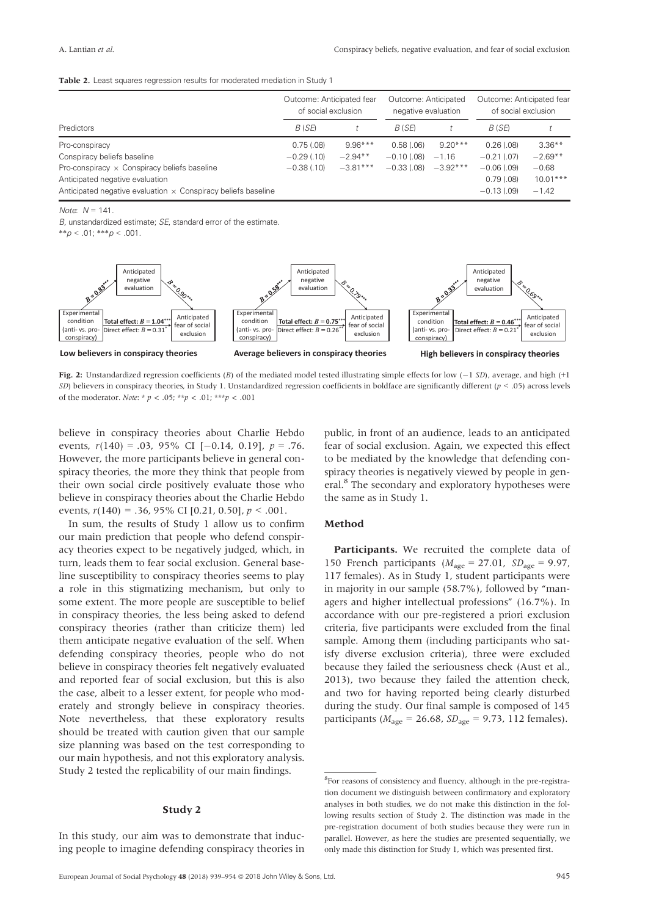| <b>Table 2.</b> Least squares regression results for moderated mediation in Study 1 |  |
|-------------------------------------------------------------------------------------|--|
|-------------------------------------------------------------------------------------|--|

|                                                                      | Outcome: Anticipated fear<br>of social exclusion |            | Outcome: Anticipated<br>negative evaluation |            | Outcome: Anticipated fear<br>of social exclusion |            |
|----------------------------------------------------------------------|--------------------------------------------------|------------|---------------------------------------------|------------|--------------------------------------------------|------------|
| Predictors                                                           | B (SE)                                           |            | B (SE)                                      |            | B (SE)                                           |            |
| Pro-conspiracy                                                       | 0.75(.08)                                        | $9.96***$  | 0.58(.06)                                   | $9.20***$  | 0.26(.08)                                        | $3.36***$  |
| Conspiracy beliefs baseline                                          | $-0.29$ (.10)                                    | $-2.94**$  | $-0.10$ (.08)                               | $-1.16$    | $-0.21(0.07)$                                    | $-2.69**$  |
| Pro-conspiracy $\times$ Conspiracy beliefs baseline                  | $-0.38(0.10)$                                    | $-3.81***$ | $-0.33(0.08)$                               | $-3.92***$ | $-0.06$ (.09)                                    | $-0.68$    |
| Anticipated negative evaluation                                      |                                                  |            |                                             |            | 0.79(0.08)                                       | $10.01***$ |
| Anticipated negative evaluation $\times$ Conspiracy beliefs baseline |                                                  |            |                                             |            | $-0.13(0.09)$                                    | $-1.42$    |

Note:  $N = 141$ .

B, unstandardized estimate; SE, standard error of the estimate.

\*\* $p < .01;$ \*\*\* $p < .001$ .



Fig. 2: Unstandardized regression coefficients (B) of the mediated model tested illustrating simple effects for low  $(-1 SD)$ , average, and high  $(+1)$ SD) believers in conspiracy theories, in Study 1. Unstandardized regression coefficients in boldface are significantly different ( $p < .05$ ) across levels of the moderator. *Note*: \*  $p < .05$ ; \*\* $p < .01$ ; \*\*\* $p < .001$ 

believe in conspiracy theories about Charlie Hebdo events,  $r(140) = .03$ , 95% CI  $[-0.14, 0.19]$ ,  $p = .76$ . However, the more participants believe in general conspiracy theories, the more they think that people from their own social circle positively evaluate those who believe in conspiracy theories about the Charlie Hebdo events,  $r(140) = .36, 95\%$  CI [0.21, 0.50],  $p < .001$ .

In sum, the results of Study 1 allow us to confirm our main prediction that people who defend conspiracy theories expect to be negatively judged, which, in turn, leads them to fear social exclusion. General baseline susceptibility to conspiracy theories seems to play a role in this stigmatizing mechanism, but only to some extent. The more people are susceptible to belief in conspiracy theories, the less being asked to defend conspiracy theories (rather than criticize them) led them anticipate negative evaluation of the self. When defending conspiracy theories, people who do not believe in conspiracy theories felt negatively evaluated and reported fear of social exclusion, but this is also the case, albeit to a lesser extent, for people who moderately and strongly believe in conspiracy theories. Note nevertheless, that these exploratory results should be treated with caution given that our sample size planning was based on the test corresponding to our main hypothesis, and not this exploratory analysis. Study 2 tested the replicability of our main findings.

# Study 2

In this study, our aim was to demonstrate that inducing people to imagine defending conspiracy theories in

public, in front of an audience, leads to an anticipated fear of social exclusion. Again, we expected this effect to be mediated by the knowledge that defending conspiracy theories is negatively viewed by people in general.<sup>8</sup> The secondary and exploratory hypotheses were the same as in Study 1.

# Method

Participants. We recruited the complete data of 150 French participants ( $M_{\text{age}} = 27.01$ ,  $SD_{\text{age}} = 9.97$ , 117 females). As in Study 1, student participants were in majority in our sample (58.7%), followed by "managers and higher intellectual professions" (16.7%). In accordance with our pre-registered a priori exclusion criteria, five participants were excluded from the final sample. Among them (including participants who satisfy diverse exclusion criteria), three were excluded because they failed the seriousness check (Aust et al., 2013), two because they failed the attention check, and two for having reported being clearly disturbed during the study. Our final sample is composed of 145 participants ( $M_{\text{age}} = 26.68$ ,  $SD_{\text{age}} = 9.73$ , 112 females).

<sup>8</sup> For reasons of consistency and fluency, although in the pre-registration document we distinguish between confirmatory and exploratory analyses in both studies, we do not make this distinction in the following results section of Study 2. The distinction was made in the pre-registration document of both studies because they were run in parallel. However, as here the studies are presented sequentially, we only made this distinction for Study 1, which was presented first.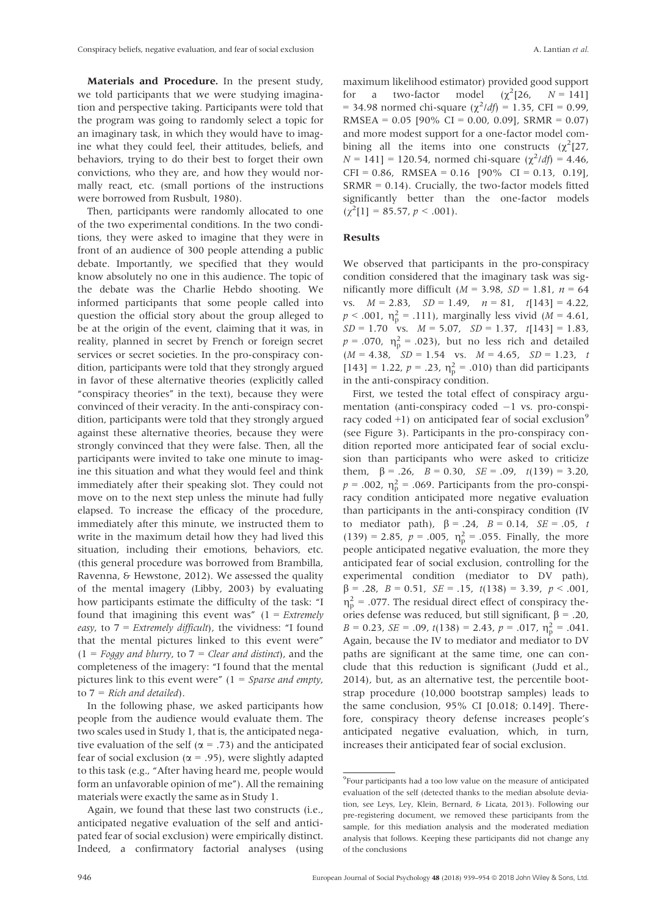Materials and Procedure. In the present study, we told participants that we were studying imagination and perspective taking. Participants were told that the program was going to randomly select a topic for an imaginary task, in which they would have to imagine what they could feel, their attitudes, beliefs, and behaviors, trying to do their best to forget their own convictions, who they are, and how they would normally react, etc. (small portions of the instructions were borrowed from Rusbult, 1980).

Then, participants were randomly allocated to one of the two experimental conditions. In the two conditions, they were asked to imagine that they were in front of an audience of 300 people attending a public debate. Importantly, we specified that they would know absolutely no one in this audience. The topic of the debate was the Charlie Hebdo shooting. We informed participants that some people called into question the official story about the group alleged to be at the origin of the event, claiming that it was, in reality, planned in secret by French or foreign secret services or secret societies. In the pro-conspiracy condition, participants were told that they strongly argued in favor of these alternative theories (explicitly called "conspiracy theories" in the text), because they were convinced of their veracity. In the anti-conspiracy condition, participants were told that they strongly argued against these alternative theories, because they were strongly convinced that they were false. Then, all the participants were invited to take one minute to imagine this situation and what they would feel and think immediately after their speaking slot. They could not move on to the next step unless the minute had fully elapsed. To increase the efficacy of the procedure, immediately after this minute, we instructed them to write in the maximum detail how they had lived this situation, including their emotions, behaviors, etc. (this general procedure was borrowed from Brambilla, Ravenna, & Hewstone, 2012). We assessed the quality of the mental imagery (Libby, 2003) by evaluating how participants estimate the difficulty of the task: "I found that imagining this event was"  $(1 = Extremely$ easy, to  $7$  = Extremely difficult), the vividness: "I found that the mental pictures linked to this event were"  $(1 = Foggy$  and blurry, to  $7 = Clear$  and distinct), and the completeness of the imagery: "I found that the mental pictures link to this event were"  $(1 =$  *Sparse and empty,* to  $7 =$  Rich and detailed).

In the following phase, we asked participants how people from the audience would evaluate them. The two scales used in Study 1, that is, the anticipated negative evaluation of the self ( $\alpha$  = .73) and the anticipated fear of social exclusion ( $\alpha$  = .95), were slightly adapted to this task (e.g., "After having heard me, people would form an unfavorable opinion of me"). All the remaining materials were exactly the same as in Study 1.

Again, we found that these last two constructs (i.e., anticipated negative evaluation of the self and anticipated fear of social exclusion) were empirically distinct. Indeed, a confirmatory factorial analyses (using maximum likelihood estimator) provided good support for a two-factor model  $(\chi^2 - 34.98 \text{ normed chi square})^2/d\theta =$  $(\chi^2[26, \quad N = 141]$ = 34.98 normed chi-square  $(\chi^2/df) = 1.35$ , CFI = 0.99,<br>PMSEA = 0.05, 190% CI = 0.00, 0.091, SPMP = 0.07) RMSEA =  $0.05$  [90% CI = 0.00, 0.09], SRMR = 0.07) and more modest support for a one-factor model combining all the items into one constructs  $(\chi^2[27, N = 141] = 120.54$  pormed chi-square  $(\chi^2/df) = 4.46$  $N = 141$ ] = 120.54, normed chi-square  $(\chi^2/df) = 4.46$ ,<br>CEL - 0.86, PMSEA - 0.16, 190%, CL - 0.13, 0.191  $CFI = 0.86$ , RMSEA = 0.16 [90% CI = 0.13, 0.19],  $SRMR = 0.14$ ). Crucially, the two-factor models fitted significantly better than the one-factor models  $(\chi^2[1] = 85.57, p < .001).$ 

### Results

We observed that participants in the pro-conspiracy condition considered that the imaginary task was significantly more difficult ( $M = 3.98$ ,  $SD = 1.81$ ,  $n = 64$ vs.  $M = 2.83$ ,  $SD = 1.49$ ,  $n = 81$ ,  $t[143] = 4.22$ ,  $p < .001$ ,  $\eta_p^2 = .111$ ), marginally less vivid ( $M = 4.61$ ,<br>  $p = 1.70$ ,  $v = M = 5.07$ ,  $p = 1.37$ ,  $f[1431 - 1.83]$  $SD = 1.70$  vs.  $M = 5.07$ ,  $SD = 1.37$ ,  $t[143] = 1.83$ ,  $p = .070$ ,  $\eta_p^2 = .023$ ), but no less rich and detailed<br>  $(M - 4.38 \text{ SD} - 1.54 \text{ VS} - M - 4.65 \text{ SD} - 1.23 \text{ J}$  $(M = 4.38, S_D = 1.54 \text{ vs. } M = 4.65, SD = 1.23, t$ [143] = 1.22,  $p = .23$ ,  $\eta_p^2 = .010$ ) than did participants<br>in the anti-conspiracy condition in the anti-conspiracy condition.

First, we tested the total effect of conspiracy argumentation (anti-conspiracy coded  $-1$  vs. pro-conspiracy coded  $+1$ ) on anticipated fear of social exclusion<sup>9</sup> (see Figure 3). Participants in the pro-conspiracy condition reported more anticipated fear of social exclusion than participants who were asked to criticize them,  $\beta = .26$ ,  $B = 0.30$ ,  $SE = .09$ ,  $t(139) = 3.20$ ,  $p = .002$ ,  $\eta_p^2 = .069$ . Participants from the pro-conspirately condition applicanted more negative evaluation racy condition anticipated more negative evaluation than participants in the anti-conspiracy condition (IV to mediator path),  $\beta = .24$ ,  $B = 0.14$ ,  $SE = .05$ , t  $(139) = 2.85$ ,  $p = .005$ ,  $\eta_p^2 = .055$ . Finally, the more negotial parative evaluation, the more than people anticipated negative evaluation, the more they anticipated fear of social exclusion, controlling for the experimental condition (mediator to DV path),  $\beta = .28$ ,  $B = 0.51$ ,  $SE = .15$ ,  $t(138) = 3.39$ ,  $p < .001$ ,  $\eta_p^2 = .077$ . The residual direct effect of conspiracy theories defense was reduced but still significant  $B = .20$ . ories defense was reduced, but still significant,  $\beta = .20$ ,  $B = 0.23$ ,  $SE = .09$ ,  $t(138) = 2.43$ ,  $p = .017$ ,  $\eta_p^2 = .041$ .<br>Again, because the IV to mediator and mediator to DV. Again, because the IV to mediator and mediator to DV paths are significant at the same time, one can conclude that this reduction is significant (Judd et al., 2014), but, as an alternative test, the percentile bootstrap procedure (10,000 bootstrap samples) leads to the same conclusion, 95% CI [0.018; 0.149]. Therefore, conspiracy theory defense increases people's anticipated negative evaluation, which, in turn, increases their anticipated fear of social exclusion.

<sup>&</sup>lt;sup>9</sup>Four participants had a too low value on the measure of anticipated evaluation of the self (detected thanks to the median absolute deviation, see Leys, Ley, Klein, Bernard, & Licata, 2013). Following our pre-registering document, we removed these participants from the sample, for this mediation analysis and the moderated mediation analysis that follows. Keeping these participants did not change any of the conclusions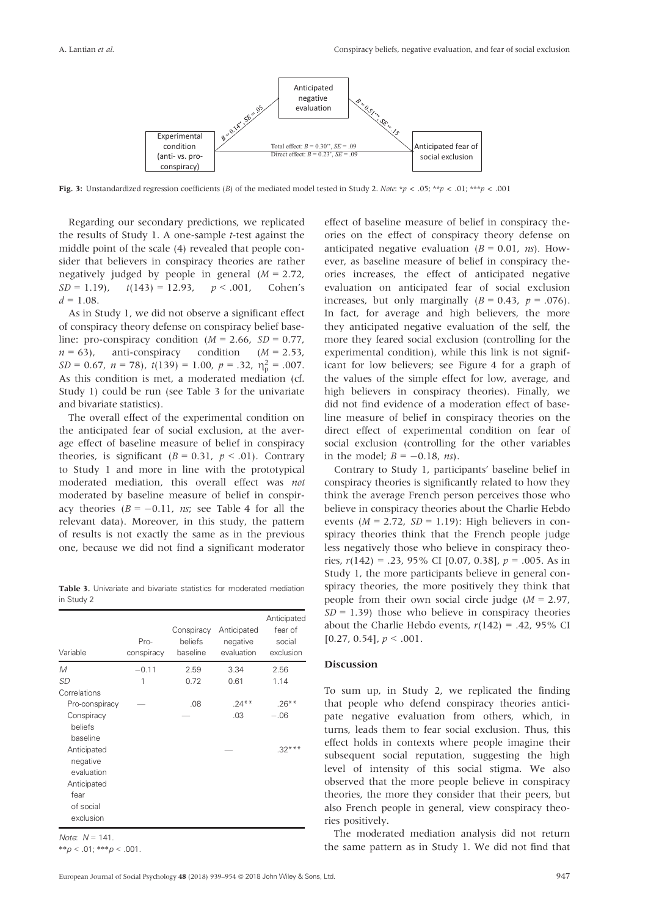

Fig. 3: Unstandardized regression coefficients (B) of the mediated model tested in Study 2. Note: \*p < .05; \*\*p < .01; \*\*\*p < .001

Regarding our secondary predictions, we replicated the results of Study 1. A one-sample t-test against the middle point of the scale (4) revealed that people consider that believers in conspiracy theories are rather negatively judged by people in general  $(M = 2.72)$ ,  $SD = 1.19$ ,  $t(143) = 12.93$ ,  $p < .001$ , Cohen's  $d = 1.08$ .

As in Study 1, we did not observe a significant effect of conspiracy theory defense on conspiracy belief baseline: pro-conspiracy condition ( $M = 2.66$ ,  $SD = 0.77$ ,  $n = 63$ ), anti-conspiracy condition  $(M = 2.53)$ ,  $SD = 0.67$ ,  $n = 78$ ),  $t(139) = 1.00$ ,  $p = .32$ ,  $\eta_p^2 = .007$ .<br>As this condition is met a moderated mediation (cf. As this condition is met, a moderated mediation (cf. Study 1) could be run (see Table 3 for the univariate and bivariate statistics).

The overall effect of the experimental condition on the anticipated fear of social exclusion, at the average effect of baseline measure of belief in conspiracy theories, is significant ( $B = 0.31$ ,  $p < .01$ ). Contrary to Study 1 and more in line with the prototypical moderated mediation, this overall effect was not moderated by baseline measure of belief in conspiracy theories ( $B = -0.11$ , ns; see Table 4 for all the relevant data). Moreover, in this study, the pattern of results is not exactly the same as in the previous one, because we did not find a significant moderator

Table 3. Univariate and bivariate statistics for moderated mediation in Study 2

| Variable                                                                  | Pro-<br>conspiracy | Conspiracy<br>beliefs<br>baseline | Anticipated<br>negative<br>evaluation | Anticipated<br>fear of<br>social<br>exclusion |
|---------------------------------------------------------------------------|--------------------|-----------------------------------|---------------------------------------|-----------------------------------------------|
| M                                                                         | $-0.11$            | 2.59                              | 3.34                                  | 2.56                                          |
| <b>SD</b>                                                                 | 1                  | 0.72                              | 0.61                                  | 1.14                                          |
| Correlations                                                              |                    |                                   |                                       |                                               |
| Pro-conspiracy                                                            |                    | .08                               | $.24**$                               | $.26**$                                       |
| Conspiracy<br>beliefs<br>baseline                                         |                    |                                   | .03                                   | $-.06$                                        |
| Anticipated<br>negative<br>evaluation<br>Anticipated<br>fear<br>of social |                    |                                   |                                       | $.32***$                                      |
| exclusion                                                                 |                    |                                   |                                       |                                               |

Note:  $N = 141$ .

 $*$  $p$  < .01;  $*$  $*$  $p$  < .001.

European Journal of Social Psychology 48 (2018) 939–954 @ 2018 John Wiley & Sons, Ltd. 947

effect of baseline measure of belief in conspiracy theories on the effect of conspiracy theory defense on anticipated negative evaluation ( $B = 0.01$ ,  $ns$ ). However, as baseline measure of belief in conspiracy theories increases, the effect of anticipated negative evaluation on anticipated fear of social exclusion increases, but only marginally  $(B = 0.43, p = .076)$ . In fact, for average and high believers, the more they anticipated negative evaluation of the self, the more they feared social exclusion (controlling for the experimental condition), while this link is not significant for low believers; see Figure 4 for a graph of the values of the simple effect for low, average, and high believers in conspiracy theories). Finally, we did not find evidence of a moderation effect of baseline measure of belief in conspiracy theories on the direct effect of experimental condition on fear of social exclusion (controlling for the other variables in the model;  $B = -0.18$ , ns).

Contrary to Study 1, participants' baseline belief in conspiracy theories is significantly related to how they think the average French person perceives those who believe in conspiracy theories about the Charlie Hebdo events ( $M = 2.72$ ,  $SD = 1.19$ ): High believers in conspiracy theories think that the French people judge less negatively those who believe in conspiracy theories,  $r(142) = .23, 95\%$  CI [0.07, 0.38],  $p = .005$ . As in Study 1, the more participants believe in general conspiracy theories, the more positively they think that people from their own social circle judge ( $M = 2.97$ ,  $SD = 1.39$ ) those who believe in conspiracy theories about the Charlie Hebdo events,  $r(142) = .42,95\%$  CI  $[0.27, 0.54]$ ,  $p < .001$ .

#### Discussion

To sum up, in Study 2, we replicated the finding that people who defend conspiracy theories anticipate negative evaluation from others, which, in turns, leads them to fear social exclusion. Thus, this effect holds in contexts where people imagine their subsequent social reputation, suggesting the high level of intensity of this social stigma. We also observed that the more people believe in conspiracy theories, the more they consider that their peers, but also French people in general, view conspiracy theories positively.

The moderated mediation analysis did not return the same pattern as in Study 1. We did not find that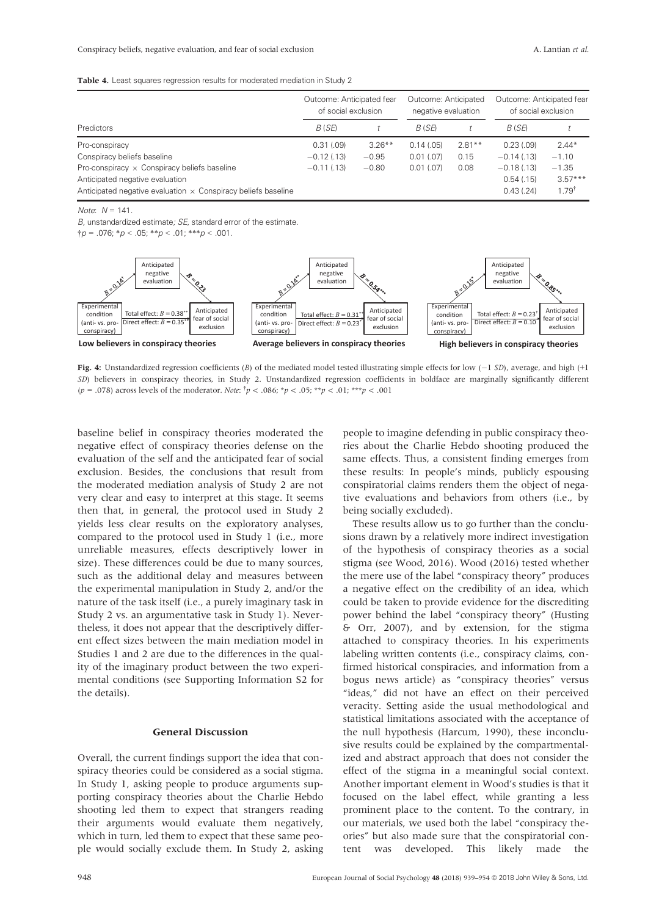|  |  |  | <b>Table 4.</b> Least squares regression results for moderated mediation in Study 2 |  |  |  |  |  |  |  |
|--|--|--|-------------------------------------------------------------------------------------|--|--|--|--|--|--|--|
|--|--|--|-------------------------------------------------------------------------------------|--|--|--|--|--|--|--|

|                                                                      | Outcome: Anticipated fear<br>of social exclusion |          | Outcome: Anticipated<br>negative evaluation |          | Outcome: Anticipated fear<br>of social exclusion |            |
|----------------------------------------------------------------------|--------------------------------------------------|----------|---------------------------------------------|----------|--------------------------------------------------|------------|
| Predictors                                                           | B (SE)                                           |          | B (SE)                                      |          | B (SE)                                           |            |
| Pro-conspiracy                                                       | 0.31(.09)                                        | $3.26**$ | 0.14(.05)                                   | $2.81**$ | 0.23(0.09)                                       | $2.44*$    |
| Conspiracy beliefs baseline                                          | $-0.12$ (.13)                                    | $-0.95$  | 0.01(.07)                                   | 0.15     | $-0.14$ (.13)                                    | $-1.10$    |
| Pro-conspiracy $\times$ Conspiracy beliefs baseline                  | $-0.11(0.13)$                                    | $-0.80$  | 0.01(.07)                                   | 0.08     | $-0.18(0.13)$                                    | $-1.35$    |
| Anticipated negative evaluation                                      |                                                  |          |                                             |          | $0.54$ $(.15)$                                   | $3.57***$  |
| Anticipated negative evaluation $\times$ Conspiracy beliefs baseline |                                                  |          |                                             |          | 0.43(.24)                                        | $1.79^{+}$ |

Note:  $N = 141$ .

B, unstandardized estimate; SE, standard error of the estimate.

 $\dagger p = .076; *p < .05; **p < .01; **p < .001.$ 



Fig. 4: Unstandardized regression coefficients (B) of the mediated model tested illustrating simple effects for low  $(-1 S D)$ , average, and high  $(+1$ SD) believers in conspiracy theories, in Study 2. Unstandardized regression coefficients in boldface are marginally significantly different  $(p = .078)$  across levels of the moderator. *Note*:  $\frac{1}{p}$  < .086;  $\frac{1}{p}$  < .05;  $\frac{1}{p}$  < .01;  $\frac{1}{p}$  × .011

baseline belief in conspiracy theories moderated the negative effect of conspiracy theories defense on the evaluation of the self and the anticipated fear of social exclusion. Besides, the conclusions that result from the moderated mediation analysis of Study 2 are not very clear and easy to interpret at this stage. It seems then that, in general, the protocol used in Study 2 yields less clear results on the exploratory analyses, compared to the protocol used in Study 1 (i.e., more unreliable measures, effects descriptively lower in size). These differences could be due to many sources, such as the additional delay and measures between the experimental manipulation in Study 2, and/or the nature of the task itself (i.e., a purely imaginary task in Study 2 vs. an argumentative task in Study 1). Nevertheless, it does not appear that the descriptively different effect sizes between the main mediation model in Studies 1 and 2 are due to the differences in the quality of the imaginary product between the two experimental conditions (see Supporting Information S2 for the details).

# General Discussion

Overall, the current findings support the idea that conspiracy theories could be considered as a social stigma. In Study 1, asking people to produce arguments supporting conspiracy theories about the Charlie Hebdo shooting led them to expect that strangers reading their arguments would evaluate them negatively, which in turn, led them to expect that these same people would socially exclude them. In Study 2, asking

people to imagine defending in public conspiracy theories about the Charlie Hebdo shooting produced the same effects. Thus, a consistent finding emerges from these results: In people's minds, publicly espousing conspiratorial claims renders them the object of negative evaluations and behaviors from others (i.e., by being socially excluded).

These results allow us to go further than the conclusions drawn by a relatively more indirect investigation of the hypothesis of conspiracy theories as a social stigma (see Wood, 2016). Wood (2016) tested whether the mere use of the label "conspiracy theory" produces a negative effect on the credibility of an idea, which could be taken to provide evidence for the discrediting power behind the label "conspiracy theory" (Husting & Orr, 2007), and by extension, for the stigma attached to conspiracy theories. In his experiments labeling written contents (i.e., conspiracy claims, confirmed historical conspiracies, and information from a bogus news article) as "conspiracy theories" versus "ideas," did not have an effect on their perceived veracity. Setting aside the usual methodological and statistical limitations associated with the acceptance of the null hypothesis (Harcum, 1990), these inconclusive results could be explained by the compartmentalized and abstract approach that does not consider the effect of the stigma in a meaningful social context. Another important element in Wood's studies is that it focused on the label effect, while granting a less prominent place to the content. To the contrary, in our materials, we used both the label "conspiracy theories" but also made sure that the conspiratorial content was developed. This likely made the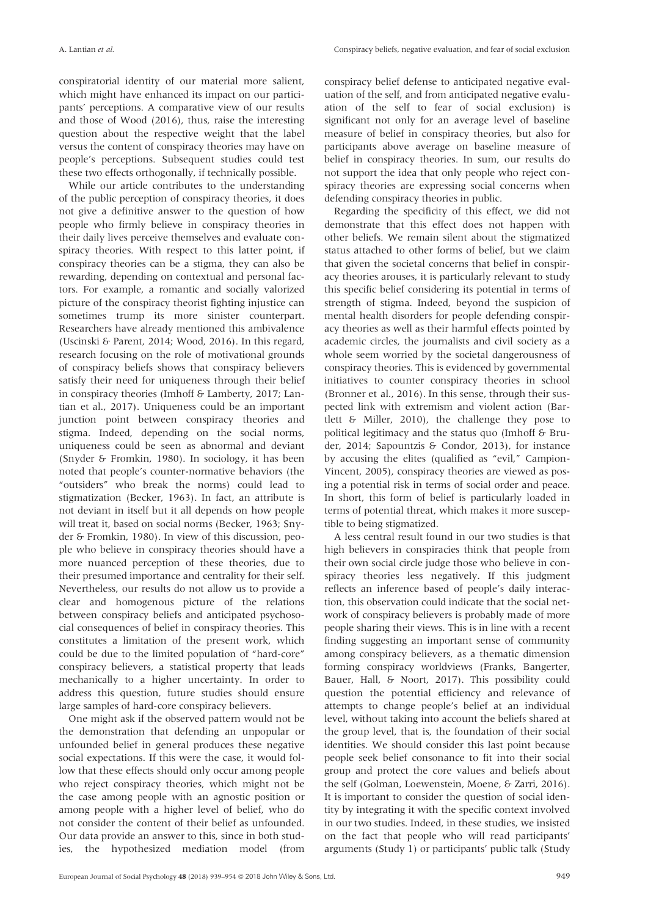conspiratorial identity of our material more salient, which might have enhanced its impact on our participants' perceptions. A comparative view of our results and those of Wood (2016), thus, raise the interesting question about the respective weight that the label versus the content of conspiracy theories may have on people's perceptions. Subsequent studies could test these two effects orthogonally, if technically possible.

While our article contributes to the understanding of the public perception of conspiracy theories, it does not give a definitive answer to the question of how people who firmly believe in conspiracy theories in their daily lives perceive themselves and evaluate conspiracy theories. With respect to this latter point, if conspiracy theories can be a stigma, they can also be rewarding, depending on contextual and personal factors. For example, a romantic and socially valorized picture of the conspiracy theorist fighting injustice can sometimes trump its more sinister counterpart. Researchers have already mentioned this ambivalence (Uscinski & Parent, 2014; Wood, 2016). In this regard, research focusing on the role of motivational grounds of conspiracy beliefs shows that conspiracy believers satisfy their need for uniqueness through their belief in conspiracy theories (Imhoff & Lamberty, 2017; Lantian et al., 2017). Uniqueness could be an important junction point between conspiracy theories and stigma. Indeed, depending on the social norms, uniqueness could be seen as abnormal and deviant (Snyder & Fromkin, 1980). In sociology, it has been noted that people's counter-normative behaviors (the "outsiders" who break the norms) could lead to stigmatization (Becker, 1963). In fact, an attribute is not deviant in itself but it all depends on how people will treat it, based on social norms (Becker, 1963; Snyder & Fromkin, 1980). In view of this discussion, people who believe in conspiracy theories should have a more nuanced perception of these theories, due to their presumed importance and centrality for their self. Nevertheless, our results do not allow us to provide a clear and homogenous picture of the relations between conspiracy beliefs and anticipated psychosocial consequences of belief in conspiracy theories. This constitutes a limitation of the present work, which could be due to the limited population of "hard-core" conspiracy believers, a statistical property that leads mechanically to a higher uncertainty. In order to address this question, future studies should ensure large samples of hard-core conspiracy believers.

One might ask if the observed pattern would not be the demonstration that defending an unpopular or unfounded belief in general produces these negative social expectations. If this were the case, it would follow that these effects should only occur among people who reject conspiracy theories, which might not be the case among people with an agnostic position or among people with a higher level of belief, who do not consider the content of their belief as unfounded. Our data provide an answer to this, since in both studies, the hypothesized mediation model (from

conspiracy belief defense to anticipated negative evaluation of the self, and from anticipated negative evaluation of the self to fear of social exclusion) is significant not only for an average level of baseline measure of belief in conspiracy theories, but also for participants above average on baseline measure of belief in conspiracy theories. In sum, our results do not support the idea that only people who reject conspiracy theories are expressing social concerns when defending conspiracy theories in public.

Regarding the specificity of this effect, we did not demonstrate that this effect does not happen with other beliefs. We remain silent about the stigmatized status attached to other forms of belief, but we claim that given the societal concerns that belief in conspiracy theories arouses, it is particularly relevant to study this specific belief considering its potential in terms of strength of stigma. Indeed, beyond the suspicion of mental health disorders for people defending conspiracy theories as well as their harmful effects pointed by academic circles, the journalists and civil society as a whole seem worried by the societal dangerousness of conspiracy theories. This is evidenced by governmental initiatives to counter conspiracy theories in school (Bronner et al., 2016). In this sense, through their suspected link with extremism and violent action (Bartlett & Miller, 2010), the challenge they pose to political legitimacy and the status quo (Imhoff & Bruder, 2014; Sapountzis & Condor, 2013), for instance by accusing the elites (qualified as "evil," Campion-Vincent, 2005), conspiracy theories are viewed as posing a potential risk in terms of social order and peace. In short, this form of belief is particularly loaded in terms of potential threat, which makes it more susceptible to being stigmatized.

A less central result found in our two studies is that high believers in conspiracies think that people from their own social circle judge those who believe in conspiracy theories less negatively. If this judgment reflects an inference based of people's daily interaction, this observation could indicate that the social network of conspiracy believers is probably made of more people sharing their views. This is in line with a recent finding suggesting an important sense of community among conspiracy believers, as a thematic dimension forming conspiracy worldviews (Franks, Bangerter, Bauer, Hall, & Noort, 2017). This possibility could question the potential efficiency and relevance of attempts to change people's belief at an individual level, without taking into account the beliefs shared at the group level, that is, the foundation of their social identities. We should consider this last point because people seek belief consonance to fit into their social group and protect the core values and beliefs about the self (Golman, Loewenstein, Moene, & Zarri, 2016). It is important to consider the question of social identity by integrating it with the specific context involved in our two studies. Indeed, in these studies, we insisted on the fact that people who will read participants' arguments (Study 1) or participants' public talk (Study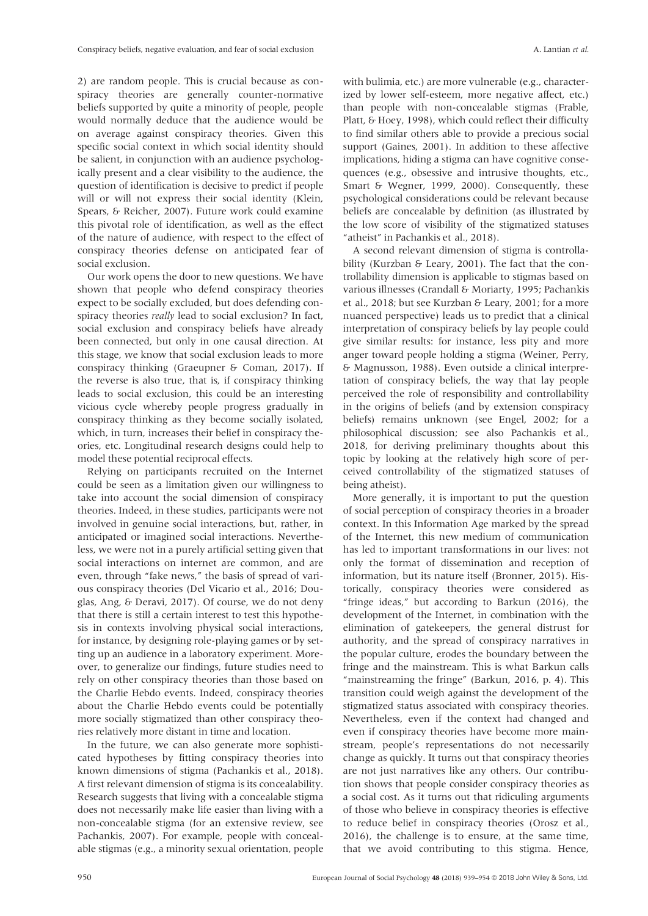2) are random people. This is crucial because as conspiracy theories are generally counter-normative beliefs supported by quite a minority of people, people would normally deduce that the audience would be on average against conspiracy theories. Given this specific social context in which social identity should be salient, in conjunction with an audience psychologically present and a clear visibility to the audience, the question of identification is decisive to predict if people will or will not express their social identity (Klein, Spears, & Reicher, 2007). Future work could examine this pivotal role of identification, as well as the effect of the nature of audience, with respect to the effect of conspiracy theories defense on anticipated fear of social exclusion.

Our work opens the door to new questions. We have shown that people who defend conspiracy theories expect to be socially excluded, but does defending conspiracy theories really lead to social exclusion? In fact, social exclusion and conspiracy beliefs have already been connected, but only in one causal direction. At this stage, we know that social exclusion leads to more conspiracy thinking (Graeupner & Coman, 2017). If the reverse is also true, that is, if conspiracy thinking leads to social exclusion, this could be an interesting vicious cycle whereby people progress gradually in conspiracy thinking as they become socially isolated, which, in turn, increases their belief in conspiracy theories, etc. Longitudinal research designs could help to model these potential reciprocal effects.

Relying on participants recruited on the Internet could be seen as a limitation given our willingness to take into account the social dimension of conspiracy theories. Indeed, in these studies, participants were not involved in genuine social interactions, but, rather, in anticipated or imagined social interactions. Nevertheless, we were not in a purely artificial setting given that social interactions on internet are common, and are even, through "fake news," the basis of spread of various conspiracy theories (Del Vicario et al., 2016; Douglas, Ang, & Deravi, 2017). Of course, we do not deny that there is still a certain interest to test this hypothesis in contexts involving physical social interactions, for instance, by designing role-playing games or by setting up an audience in a laboratory experiment. Moreover, to generalize our findings, future studies need to rely on other conspiracy theories than those based on the Charlie Hebdo events. Indeed, conspiracy theories about the Charlie Hebdo events could be potentially more socially stigmatized than other conspiracy theories relatively more distant in time and location.

In the future, we can also generate more sophisticated hypotheses by fitting conspiracy theories into known dimensions of stigma (Pachankis et al., 2018). A first relevant dimension of stigma is its concealability. Research suggests that living with a concealable stigma does not necessarily make life easier than living with a non-concealable stigma (for an extensive review, see Pachankis, 2007). For example, people with concealable stigmas (e.g., a minority sexual orientation, people

with bulimia, etc.) are more vulnerable (e.g., characterized by lower self-esteem, more negative affect, etc.) than people with non-concealable stigmas (Frable, Platt, & Hoey, 1998), which could reflect their difficulty to find similar others able to provide a precious social support (Gaines, 2001). In addition to these affective implications, hiding a stigma can have cognitive consequences (e.g., obsessive and intrusive thoughts, etc., Smart & Wegner, 1999, 2000). Consequently, these psychological considerations could be relevant because beliefs are concealable by definition (as illustrated by the low score of visibility of the stigmatized statuses "atheist" in Pachankis et al., 2018).

A second relevant dimension of stigma is controllability (Kurzban & Leary, 2001). The fact that the controllability dimension is applicable to stigmas based on various illnesses (Crandall & Moriarty, 1995; Pachankis et al., 2018; but see Kurzban & Leary, 2001; for a more nuanced perspective) leads us to predict that a clinical interpretation of conspiracy beliefs by lay people could give similar results: for instance, less pity and more anger toward people holding a stigma (Weiner, Perry, & Magnusson, 1988). Even outside a clinical interpretation of conspiracy beliefs, the way that lay people perceived the role of responsibility and controllability in the origins of beliefs (and by extension conspiracy beliefs) remains unknown (see Engel, 2002; for a philosophical discussion; see also Pachankis et al., 2018, for deriving preliminary thoughts about this topic by looking at the relatively high score of perceived controllability of the stigmatized statuses of being atheist).

More generally, it is important to put the question of social perception of conspiracy theories in a broader context. In this Information Age marked by the spread of the Internet, this new medium of communication has led to important transformations in our lives: not only the format of dissemination and reception of information, but its nature itself (Bronner, 2015). Historically, conspiracy theories were considered as "fringe ideas," but according to Barkun (2016), the development of the Internet, in combination with the elimination of gatekeepers, the general distrust for authority, and the spread of conspiracy narratives in the popular culture, erodes the boundary between the fringe and the mainstream. This is what Barkun calls "mainstreaming the fringe" (Barkun, 2016, p. 4). This transition could weigh against the development of the stigmatized status associated with conspiracy theories. Nevertheless, even if the context had changed and even if conspiracy theories have become more mainstream, people's representations do not necessarily change as quickly. It turns out that conspiracy theories are not just narratives like any others. Our contribution shows that people consider conspiracy theories as a social cost. As it turns out that ridiculing arguments of those who believe in conspiracy theories is effective to reduce belief in conspiracy theories (Orosz et al., 2016), the challenge is to ensure, at the same time, that we avoid contributing to this stigma. Hence,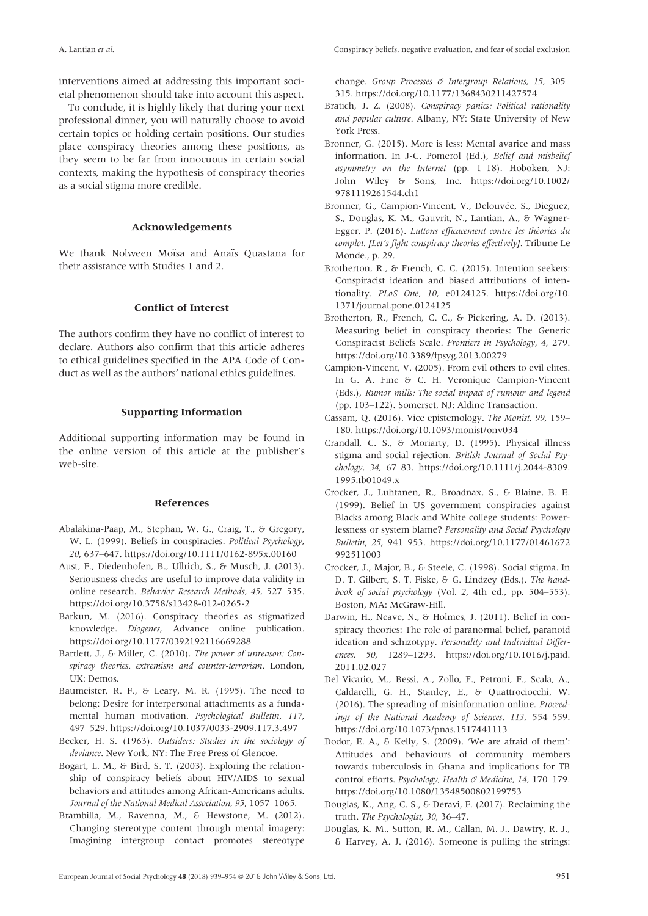interventions aimed at addressing this important societal phenomenon should take into account this aspect.

To conclude, it is highly likely that during your next professional dinner, you will naturally choose to avoid certain topics or holding certain positions. Our studies place conspiracy theories among these positions, as they seem to be far from innocuous in certain social contexts, making the hypothesis of conspiracy theories as a social stigma more credible.

# Acknowledgements

We thank Nolween Moïsa and Anaïs Quastana for their assistance with Studies 1 and 2.

# Conflict of Interest

The authors confirm they have no conflict of interest to declare. Authors also confirm that this article adheres to ethical guidelines specified in the APA Code of Conduct as well as the authors' national ethics guidelines.

# Supporting Information

Additional supporting information may be found in the online version of this article at the publisher's web-site.

### References

- Abalakina-Paap, M., Stephan, W. G., Craig, T., & Gregory, W. L. (1999). Beliefs in conspiracies. Political Psychology, 20, 637–647.<https://doi.org/10.1111/0162-895x.00160>
- Aust, F., Diedenhofen, B., Ullrich, S., & Musch, J. (2013). Seriousness checks are useful to improve data validity in online research. Behavior Research Methods, 45, 527–535. <https://doi.org/10.3758/s13428-012-0265-2>
- Barkun, M. (2016). Conspiracy theories as stigmatized knowledge. Diogenes, Advance online publication. https://doi.org/10.1177/0392192116669288
- Bartlett, J., & Miller, C. (2010). The power of unreason: Conspiracy theories, extremism and counter-terrorism. London, UK: Demos.
- Baumeister, R. F., & Leary, M. R. (1995). The need to belong: Desire for interpersonal attachments as a fundamental human motivation. Psychological Bulletin, 117, 497–529.<https://doi.org/10.1037/0033-2909.117.3.497>
- Becker, H. S. (1963). Outsiders: Studies in the sociology of deviance. New York, NY: The Free Press of Glencoe.
- Bogart, L. M., & Bird, S. T. (2003). Exploring the relationship of conspiracy beliefs about HIV/AIDS to sexual behaviors and attitudes among African-Americans adults. Journal of the National Medical Association, 95, 1057–1065.
- Brambilla, M., Ravenna, M., & Hewstone, M. (2012). Changing stereotype content through mental imagery: Imagining intergroup contact promotes stereotype

change. Group Processes  $\mathcal{C}$  Intergroup Relations, 15, 305– 315.<https://doi.org/10.1177/1368430211427574>

- Bratich, J. Z. (2008). Conspiracy panics: Political rationality and popular culture. Albany, NY: State University of New York Press.
- Bronner, G. (2015). More is less: Mental avarice and mass information. In J-C. Pomerol (Ed.), Belief and misbelief asymmetry on the Internet (pp. 1–18). Hoboken, NJ: John Wiley & Sons, Inc. https://doi.org/10.1002/ 9781119261544.ch1
- Bronner, G., Campion-Vincent, V., Delouvée, S., Dieguez, S., Douglas, K. M., Gauvrit, N., Lantian, A., & Wagner-Egger, P. (2016). Luttons efficacement contre les theories du complot. [Let's fight conspiracy theories effectively]. Tribune Le Monde., p. 29.
- Brotherton, R., & French, C. C. (2015). Intention seekers: Conspiracist ideation and biased attributions of intentionality. PLoS One, 10, e0124125. [https://doi.org/10.](https://doi.org/10.1371/journal.pone.0124125) [1371/journal.pone.0124125](https://doi.org/10.1371/journal.pone.0124125)
- Brotherton, R., French, C. C., & Pickering, A. D. (2013). Measuring belief in conspiracy theories: The Generic Conspiracist Beliefs Scale. Frontiers in Psychology, 4, 279. https://doi.org/10.3389/fpsyg.2013.00279
- Campion-Vincent, V. (2005). From evil others to evil elites. In G. A. Fine & C. H. Veronique Campion-Vincent (Eds.), Rumor mills: The social impact of rumour and legend (pp. 103–122). Somerset, NJ: Aldine Transaction.
- Cassam, Q. (2016). Vice epistemology. The Monist, 99, 159– 180.<https://doi.org/10.1093/monist/onv034>
- Crandall, C. S., & Moriarty, D. (1995). Physical illness stigma and social rejection. British Journal of Social Psychology, 34, 67–83. [https://doi.org/10.1111/j.2044-8309.](https://doi.org/10.1111/j.2044-8309.1995.tb01049.x) [1995.tb01049.x](https://doi.org/10.1111/j.2044-8309.1995.tb01049.x)
- Crocker, J., Luhtanen, R., Broadnax, S., & Blaine, B. E. (1999). Belief in US government conspiracies against Blacks among Black and White college students: Powerlessness or system blame? Personality and Social Psychology Bulletin, 25, 941–953. [https://doi.org/10.1177/01461672](https://doi.org/10.1177/01461672992511003) [992511003](https://doi.org/10.1177/01461672992511003)
- Crocker, J., Major, B., & Steele, C. (1998). Social stigma. In D. T. Gilbert, S. T. Fiske, & G. Lindzey (Eds.), The handbook of social psychology (Vol. 2, 4th ed., pp. 504–553). Boston, MA: McGraw-Hill.
- Darwin, H., Neave, N., & Holmes, J. (2011). Belief in conspiracy theories: The role of paranormal belief, paranoid ideation and schizotypy. Personality and Individual Differences, 50, 1289–1293. [https://doi.org/10.1016/j.paid.](https://doi.org/10.1016/j.paid.2011.02.027) [2011.02.027](https://doi.org/10.1016/j.paid.2011.02.027)
- Del Vicario, M., Bessi, A., Zollo, F., Petroni, F., Scala, A., Caldarelli, G. H., Stanley, E., & Quattrociocchi, W. (2016). The spreading of misinformation online. Proceedings of the National Academy of Sciences, 113, 554–559. <https://doi.org/10.1073/pnas.1517441113>
- Dodor, E. A., & Kelly, S. (2009). 'We are afraid of them': Attitudes and behaviours of community members towards tuberculosis in Ghana and implications for TB control efforts. Psychology, Health & Medicine, 14, 170-179. <https://doi.org/10.1080/13548500802199753>
- Douglas, K., Ang, C. S., & Deravi, F. (2017). Reclaiming the truth. The Psychologist, 30, 36–47.
- Douglas, K. M., Sutton, R. M., Callan, M. J., Dawtry, R. J., & Harvey, A. J. (2016). Someone is pulling the strings: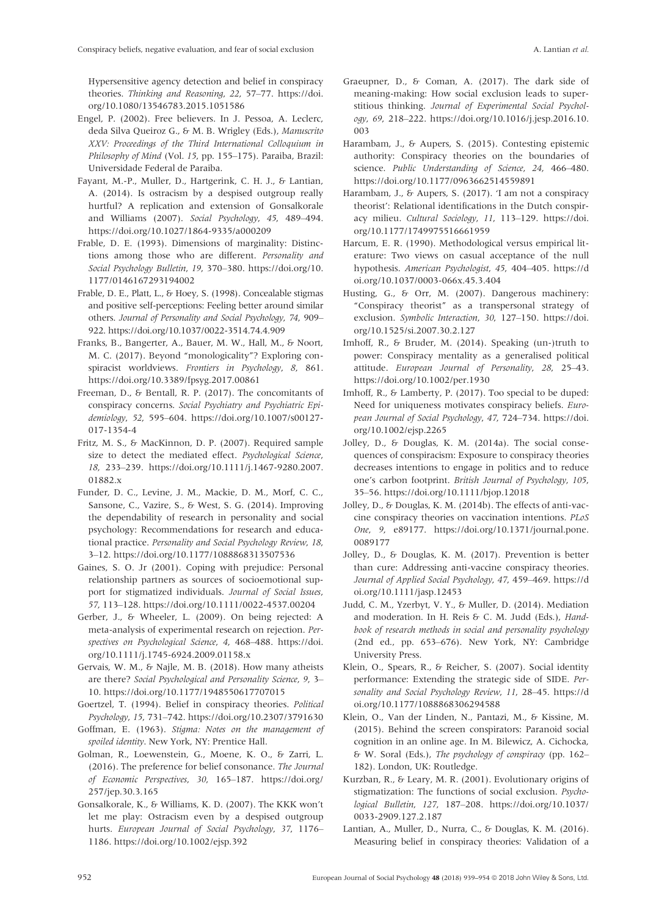Hypersensitive agency detection and belief in conspiracy theories. Thinking and Reasoning, 22, 57–77. [https://doi.](https://doi.org/10.1080/13546783.2015.1051586) [org/10.1080/13546783.2015.1051586](https://doi.org/10.1080/13546783.2015.1051586)

- Engel, P. (2002). Free believers. In J. Pessoa, A. Leclerc, deda Silva Queiroz G., & M. B. Wrigley (Eds.), Manuscrito XXV: Proceedings of the Third International Colloquium in Philosophy of Mind (Vol. 15, pp. 155–175). Paraiba, Brazil: Universidade Federal de Paraiba.
- Fayant, M.-P., Muller, D., Hartgerink, C. H. J., & Lantian, A. (2014). Is ostracism by a despised outgroup really hurtful? A replication and extension of Gonsalkorale and Williams (2007). Social Psychology, 45, 489–494. <https://doi.org/10.1027/1864-9335/a000209>
- Frable, D. E. (1993). Dimensions of marginality: Distinctions among those who are different. Personality and Social Psychology Bulletin, 19, 370–380. [https://doi.org/10.](https://doi.org/10.1177/0146167293194002) [1177/0146167293194002](https://doi.org/10.1177/0146167293194002)
- Frable, D. E., Platt, L., & Hoey, S. (1998). Concealable stigmas and positive self-perceptions: Feeling better around similar others. Journal of Personality and Social Psychology, 74, 909– 922.<https://doi.org/10.1037/0022-3514.74.4.909>
- Franks, B., Bangerter, A., Bauer, M. W., Hall, M., & Noort, M. C. (2017). Beyond "monologicality"? Exploring conspiracist worldviews. Frontiers in Psychology, 8, 861. <https://doi.org/10.3389/fpsyg.2017.00861>
- Freeman, D., & Bentall, R. P. (2017). The concomitants of conspiracy concerns. Social Psychiatry and Psychiatric Epidemiology, 52, 595–604. [https://doi.org/10.1007/s00127-](https://doi.org/10.1007/s00127-017-1354-4) [017-1354-4](https://doi.org/10.1007/s00127-017-1354-4)
- Fritz, M. S., & MacKinnon, D. P. (2007). Required sample size to detect the mediated effect. Psychological Science, 18, 233–239. [https://doi.org/10.1111/j.1467-9280.2007.](https://doi.org/10.1111/j.1467-9280.2007.01882.x) [01882.x](https://doi.org/10.1111/j.1467-9280.2007.01882.x)
- Funder, D. C., Levine, J. M., Mackie, D. M., Morf, C. C., Sansone, C., Vazire, S., & West, S. G. (2014). Improving the dependability of research in personality and social psychology: Recommendations for research and educational practice. Personality and Social Psychology Review, 18, 3–12.<https://doi.org/10.1177/1088868313507536>
- Gaines, S. O. Jr (2001). Coping with prejudice: Personal relationship partners as sources of socioemotional support for stigmatized individuals. Journal of Social Issues, 57, 113–128.<https://doi.org/10.1111/0022-4537.00204>
- Gerber, J., & Wheeler, L. (2009). On being rejected: A meta-analysis of experimental research on rejection. Perspectives on Psychological Science, 4, 468–488. [https://doi.](https://doi.org/10.1111/j.1745-6924.2009.01158.x) [org/10.1111/j.1745-6924.2009.01158.x](https://doi.org/10.1111/j.1745-6924.2009.01158.x)
- Gervais, W. M., & Najle, M. B. (2018). How many atheists are there? Social Psychological and Personality Science, 9, 3– 10.<https://doi.org/10.1177/1948550617707015>
- Goertzel, T. (1994). Belief in conspiracy theories. Political Psychology, 15, 731–742.<https://doi.org/10.2307/3791630>
- Goffman, E. (1963). Stigma: Notes on the management of spoiled identity. New York, NY: Prentice Hall.
- Golman, R., Loewenstein, G., Moene, K. O., & Zarri, L. (2016). The preference for belief consonance. The Journal of Economic Perspectives, 30, 165–187. [https://doi.org/](https://doi.org/257/jep.30.3.165) [257/jep.30.3.165](https://doi.org/257/jep.30.3.165)
- Gonsalkorale, K., & Williams, K. D. (2007). The KKK won't let me play: Ostracism even by a despised outgroup hurts. European Journal of Social Psychology, 37, 1176– 1186.<https://doi.org/10.1002/ejsp.392>
- Graeupner, D., & Coman, A. (2017). The dark side of meaning-making: How social exclusion leads to superstitious thinking. Journal of Experimental Social Psychology, 69, 218–222. [https://doi.org/10.1016/j.jesp.2016.10.](https://doi.org/10.1016/j.jesp.2016.10.003) [003](https://doi.org/10.1016/j.jesp.2016.10.003)
- Harambam, J., & Aupers, S. (2015). Contesting epistemic authority: Conspiracy theories on the boundaries of science. Public Understanding of Science, 24, 466-480. <https://doi.org/10.1177/0963662514559891>
- Harambam, J., & Aupers, S. (2017). 'I am not a conspiracy theorist': Relational identifications in the Dutch conspiracy milieu. Cultural Sociology, 11, 113–129. [https://doi.](https://doi.org/10.1177/1749975516661959) [org/10.1177/1749975516661959](https://doi.org/10.1177/1749975516661959)
- Harcum, E. R. (1990). Methodological versus empirical literature: Two views on casual acceptance of the null hypothesis. American Psychologist, 45, 404–405. [https://d](https://doi.org/10.1037/0003-066x.45.3.404) [oi.org/10.1037/0003-066x.45.3.404](https://doi.org/10.1037/0003-066x.45.3.404)
- Husting, G., & Orr, M. (2007). Dangerous machinery: "Conspiracy theorist" as a transpersonal strategy of exclusion. Symbolic Interaction, 30, 127–150. [https://doi.](https://doi.org/10.1525/si.2007.30.2.127) [org/10.1525/si.2007.30.2.127](https://doi.org/10.1525/si.2007.30.2.127)
- Imhoff, R., & Bruder, M. (2014). Speaking (un-)truth to power: Conspiracy mentality as a generalised political attitude. European Journal of Personality, 28, 25–43. <https://doi.org/10.1002/per.1930>
- Imhoff, R., & Lamberty, P. (2017). Too special to be duped: Need for uniqueness motivates conspiracy beliefs. European Journal of Social Psychology, 47, 724–734. [https://doi.](https://doi.org/10.1002/ejsp.2265) [org/10.1002/ejsp.2265](https://doi.org/10.1002/ejsp.2265)
- Jolley, D., & Douglas, K. M. (2014a). The social consequences of conspiracism: Exposure to conspiracy theories decreases intentions to engage in politics and to reduce one's carbon footprint. British Journal of Psychology, 105, 35–56.<https://doi.org/10.1111/bjop.12018>
- Jolley, D., & Douglas, K. M. (2014b). The effects of anti-vaccine conspiracy theories on vaccination intentions. PLoS One, 9, e89177. [https://doi.org/10.1371/journal.pone.](https://doi.org/10.1371/journal.pone.0089177) [0089177](https://doi.org/10.1371/journal.pone.0089177)
- Jolley, D., & Douglas, K. M. (2017). Prevention is better than cure: Addressing anti-vaccine conspiracy theories. Journal of Applied Social Psychology, 47, 459–469. [https://d](https://doi.org/10.1111/jasp.12453) [oi.org/10.1111/jasp.12453](https://doi.org/10.1111/jasp.12453)
- Judd, C. M., Yzerbyt, V. Y., & Muller, D. (2014). Mediation and moderation. In H. Reis & C. M. Judd (Eds.), Handbook of research methods in social and personality psychology (2nd ed., pp. 653–676). New York, NY: Cambridge University Press.
- Klein, O., Spears, R., & Reicher, S. (2007). Social identity performance: Extending the strategic side of SIDE. Personality and Social Psychology Review, 11, 28-45. [https://d](https://doi.org/10.1177/1088868306294588) [oi.org/10.1177/1088868306294588](https://doi.org/10.1177/1088868306294588)
- Klein, O., Van der Linden, N., Pantazi, M., & Kissine, M. (2015). Behind the screen conspirators: Paranoid social cognition in an online age. In M. Bilewicz, A. Cichocka, & W. Soral (Eds.), The psychology of conspiracy (pp. 162– 182). London, UK: Routledge.
- Kurzban, R., & Leary, M. R. (2001). Evolutionary origins of stigmatization: The functions of social exclusion. Psychological Bulletin, 127, 187–208. [https://doi.org/10.1037/](https://doi.org/10.1037/0033-2909.127.2.187) [0033-2909.127.2.187](https://doi.org/10.1037/0033-2909.127.2.187)
- Lantian, A., Muller, D., Nurra, C., & Douglas, K. M. (2016). Measuring belief in conspiracy theories: Validation of a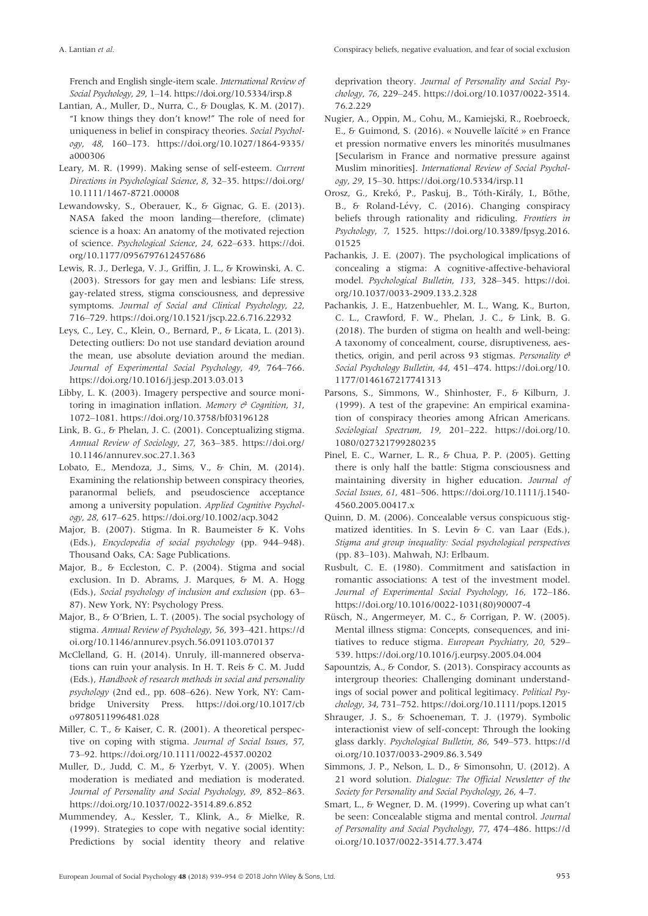French and English single-item scale. International Review of Social Psychology, 29, 1–14.<https://doi.org/10.5334/irsp.8>

- Lantian, A., Muller, D., Nurra, C., & Douglas, K. M. (2017). "I know things they don't know!" The role of need for uniqueness in belief in conspiracy theories. Social Psychology, 48, 160–173. [https://doi.org/10.1027/1864-9335/](https://doi.org/10.1027/1864-9335/a000306) [a000306](https://doi.org/10.1027/1864-9335/a000306)
- Leary, M. R. (1999). Making sense of self-esteem. Current Directions in Psychological Science, 8, 32–35. [https://doi.org/](https://doi.org/10.1111/1467-8721.00008) [10.1111/1467-8721.00008](https://doi.org/10.1111/1467-8721.00008)
- Lewandowsky, S., Oberauer, K., & Gignac, G. E. (2013). NASA faked the moon landing—therefore, (climate) science is a hoax: An anatomy of the motivated rejection of science. Psychological Science, 24, 622–633. [https://doi.](https://doi.org/10.1177/0956797612457686) [org/10.1177/0956797612457686](https://doi.org/10.1177/0956797612457686)
- Lewis, R. J., Derlega, V. J., Griffin, J. L., & Krowinski, A. C. (2003). Stressors for gay men and lesbians: Life stress, gay-related stress, stigma consciousness, and depressive symptoms. Journal of Social and Clinical Psychology, 22, 716–729.<https://doi.org/10.1521/jscp.22.6.716.22932>
- Leys, C., Ley, C., Klein, O., Bernard, P., & Licata, L. (2013). Detecting outliers: Do not use standard deviation around the mean, use absolute deviation around the median. Journal of Experimental Social Psychology, 49, 764–766. <https://doi.org/10.1016/j.jesp.2013.03.013>
- Libby, L. K. (2003). Imagery perspective and source monitoring in imagination inflation. Memory  $\mathcal O$  Cognition, 31, 1072–1081.<https://doi.org/10.3758/bf03196128>
- Link, B. G., & Phelan, J. C. (2001). Conceptualizing stigma. Annual Review of Sociology, 27, 363–385. [https://doi.org/](https://doi.org/10.1146/annurev.soc.27.1.363) [10.1146/annurev.soc.27.1.363](https://doi.org/10.1146/annurev.soc.27.1.363)
- Lobato, E., Mendoza, J., Sims, V., & Chin, M. (2014). Examining the relationship between conspiracy theories, paranormal beliefs, and pseudoscience acceptance among a university population. Applied Cognitive Psychology, 28, 617–625.<https://doi.org/10.1002/acp.3042>
- Major, B. (2007). Stigma. In R. Baumeister & K. Vohs (Eds.), Encyclopedia of social psychology (pp. 944–948). Thousand Oaks, CA: Sage Publications.
- Major, B., & Eccleston, C. P. (2004). Stigma and social exclusion. In D. Abrams, J. Marques, & M. A. Hogg (Eds.), Social psychology of inclusion and exclusion (pp. 63– 87). New York, NY: Psychology Press.
- Major, B., & O'Brien, L. T. (2005). The social psychology of stigma. Annual Review of Psychology, 56, 393–421. [https://d](https://doi.org/10.1146/annurev.psych.56.091103.070137) [oi.org/10.1146/annurev.psych.56.091103.070137](https://doi.org/10.1146/annurev.psych.56.091103.070137)
- McClelland, G. H. (2014). Unruly, ill-mannered observations can ruin your analysis. In H. T. Reis & C. M. Judd (Eds.), Handbook of research methods in social and personality psychology (2nd ed., pp. 608–626). New York, NY: Cambridge University Press. [https://doi.org/10.1017/cb](https://doi.org/10.1017/cbo9780511996481.028) [o9780511996481.028](https://doi.org/10.1017/cbo9780511996481.028)
- Miller, C. T., & Kaiser, C. R. (2001). A theoretical perspective on coping with stigma. Journal of Social Issues, 57, 73–92.<https://doi.org/10.1111/0022-4537.00202>
- Muller, D., Judd, C. M., & Yzerbyt, V. Y. (2005). When moderation is mediated and mediation is moderated. Journal of Personality and Social Psychology, 89, 852–863. <https://doi.org/10.1037/0022-3514.89.6.852>
- Mummendey, A., Kessler, T., Klink, A., & Mielke, R. (1999). Strategies to cope with negative social identity: Predictions by social identity theory and relative

deprivation theory. Journal of Personality and Social Psychology, 76, 229–245. [https://doi.org/10.1037/0022-3514.](https://doi.org/10.1037/0022-3514.76.2.229) [76.2.229](https://doi.org/10.1037/0022-3514.76.2.229)

- Nugier, A., Oppin, M., Cohu, M., Kamiejski, R., Roebroeck, E., & Guimond, S. (2016). « Nouvelle laïcité » en France et pression normative envers les minorités musulmanes [Secularism in France and normative pressure against Muslim minorities]. International Review of Social Psychology, 29, 15–30.<https://doi.org/10.5334/irsp.11>
- Orosz, G., Krekó, P., Paskuj, B., Tóth-Király, I., Bőthe, B., & Roland-Lévy, C. (2016). Changing conspiracy beliefs through rationality and ridiculing. Frontiers in Psychology, 7, 1525. [https://doi.org/10.3389/fpsyg.2016.](https://doi.org/10.3389/fpsyg.2016.01525) [01525](https://doi.org/10.3389/fpsyg.2016.01525)
- Pachankis, J. E. (2007). The psychological implications of concealing a stigma: A cognitive-affective-behavioral model. Psychological Bulletin, 133, 328–345. [https://doi.](https://doi.org/10.1037/0033-2909.133.2.328) [org/10.1037/0033-2909.133.2.328](https://doi.org/10.1037/0033-2909.133.2.328)
- Pachankis, J. E., Hatzenbuehler, M. L., Wang, K., Burton, C. L., Crawford, F. W., Phelan, J. C., & Link, B. G. (2018). The burden of stigma on health and well-being: A taxonomy of concealment, course, disruptiveness, aesthetics, origin, and peril across 93 stigmas. Personality  $e^y$ Social Psychology Bulletin, 44, 451–474. [https://doi.org/10.](https://doi.org/10.1177/0146167217741313) [1177/0146167217741313](https://doi.org/10.1177/0146167217741313)
- Parsons, S., Simmons, W., Shinhoster, F., & Kilburn, J. (1999). A test of the grapevine: An empirical examination of conspiracy theories among African Americans. Sociological Spectrum, 19, 201–222. [https://doi.org/10.](https://doi.org/10.1080/027321799280235) [1080/027321799280235](https://doi.org/10.1080/027321799280235)
- Pinel, E. C., Warner, L. R., & Chua, P. P. (2005). Getting there is only half the battle: Stigma consciousness and maintaining diversity in higher education. Journal of Social Issues, 61, 481–506. [https://doi.org/10.1111/j.1540-](https://doi.org/10.1111/j.1540-4560.2005.00417.x) [4560.2005.00417.x](https://doi.org/10.1111/j.1540-4560.2005.00417.x)
- Quinn, D. M. (2006). Concealable versus conspicuous stigmatized identities. In S. Levin & C. van Laar (Eds.), Stigma and group inequality: Social psychological perspectives (pp. 83–103). Mahwah, NJ: Erlbaum.
- Rusbult, C. E. (1980). Commitment and satisfaction in romantic associations: A test of the investment model. Journal of Experimental Social Psychology, 16, 172–186. [https://doi.org/10.1016/0022-1031\(80\)90007-4](https://doi.org/10.1016/0022-1031(80)90007-4)
- Rüsch, N., Angermeyer, M. C., & Corrigan, P. W. (2005). Mental illness stigma: Concepts, consequences, and initiatives to reduce stigma. European Psychiatry, 20, 529– 539.<https://doi.org/10.1016/j.eurpsy.2005.04.004>
- Sapountzis, A., & Condor, S. (2013). Conspiracy accounts as intergroup theories: Challenging dominant understandings of social power and political legitimacy. Political Psychology, 34, 731–752.<https://doi.org/10.1111/pops.12015>
- Shrauger, J. S., & Schoeneman, T. J. (1979). Symbolic interactionist view of self-concept: Through the looking glass darkly. Psychological Bulletin, 86, 549–573. [https://d](https://doi.org/10.1037/0033-2909.86.3.549) [oi.org/10.1037/0033-2909.86.3.549](https://doi.org/10.1037/0033-2909.86.3.549)
- Simmons, J. P., Nelson, L. D., & Simonsohn, U. (2012). A 21 word solution. Dialogue: The Official Newsletter of the Society for Personality and Social Psychology, 26, 4–7.
- Smart, L., & Wegner, D. M. (1999). Covering up what can't be seen: Concealable stigma and mental control. Journal of Personality and Social Psychology, 77, 474–486. [https://d](https://doi.org/10.1037/0022-3514.77.3.474) [oi.org/10.1037/0022-3514.77.3.474](https://doi.org/10.1037/0022-3514.77.3.474)